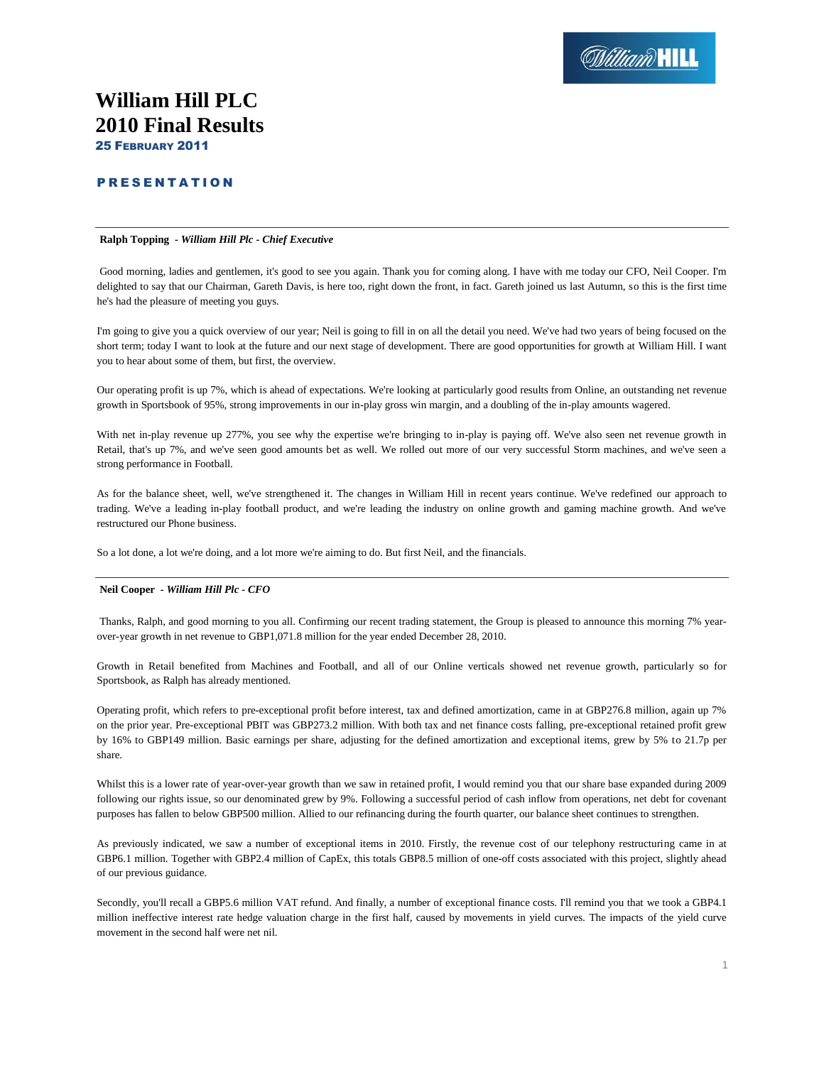

# **William Hill PLC 2010 Final Results**  25 FEBRUARY 2011

# **PRESENTATION**

### **Ralph Topping** *- William Hill Plc - Chief Executive*

Good morning, ladies and gentlemen, it's good to see you again. Thank you for coming along. I have with me today our CFO, Neil Cooper. I'm delighted to say that our Chairman, Gareth Davis, is here too, right down the front, in fact. Gareth joined us last Autumn, so this is the first time he's had the pleasure of meeting you guys.

I'm going to give you a quick overview of our year; Neil is going to fill in on all the detail you need. We've had two years of being focused on the short term; today I want to look at the future and our next stage of development. There are good opportunities for growth at William Hill. I want you to hear about some of them, but first, the overview.

Our operating profit is up 7%, which is ahead of expectations. We're looking at particularly good results from Online, an outstanding net revenue growth in Sportsbook of 95%, strong improvements in our in-play gross win margin, and a doubling of the in-play amounts wagered.

With net in-play revenue up 277%, you see why the expertise we're bringing to in-play is paying off. We've also seen net revenue growth in Retail, that's up 7%, and we've seen good amounts bet as well. We rolled out more of our very successful Storm machines, and we've seen a strong performance in Football.

As for the balance sheet, well, we've strengthened it. The changes in William Hill in recent years continue. We've redefined our approach to trading. We've a leading in-play football product, and we're leading the industry on online growth and gaming machine growth. And we've restructured our Phone business.

So a lot done, a lot we're doing, and a lot more we're aiming to do. But first Neil, and the financials.

# **Neil Cooper** *- William Hill Plc - CFO*

Thanks, Ralph, and good morning to you all. Confirming our recent trading statement, the Group is pleased to announce this morning 7% yearover-year growth in net revenue to GBP1,071.8 million for the year ended December 28, 2010.

Growth in Retail benefited from Machines and Football, and all of our Online verticals showed net revenue growth, particularly so for Sportsbook, as Ralph has already mentioned.

Operating profit, which refers to pre-exceptional profit before interest, tax and defined amortization, came in at GBP276.8 million, again up 7% on the prior year. Pre-exceptional PBIT was GBP273.2 million. With both tax and net finance costs falling, pre-exceptional retained profit grew by 16% to GBP149 million. Basic earnings per share, adjusting for the defined amortization and exceptional items, grew by 5% to 21.7p per share.

Whilst this is a lower rate of year-over-year growth than we saw in retained profit, I would remind you that our share base expanded during 2009 following our rights issue, so our denominated grew by 9%. Following a successful period of cash inflow from operations, net debt for covenant purposes has fallen to below GBP500 million. Allied to our refinancing during the fourth quarter, our balance sheet continues to strengthen.

As previously indicated, we saw a number of exceptional items in 2010. Firstly, the revenue cost of our telephony restructuring came in at GBP6.1 million. Together with GBP2.4 million of CapEx, this totals GBP8.5 million of one-off costs associated with this project, slightly ahead of our previous guidance.

Secondly, you'll recall a GBP5.6 million VAT refund. And finally, a number of exceptional finance costs. I'll remind you that we took a GBP4.1 million ineffective interest rate hedge valuation charge in the first half, caused by movements in yield curves. The impacts of the yield curve movement in the second half were net nil.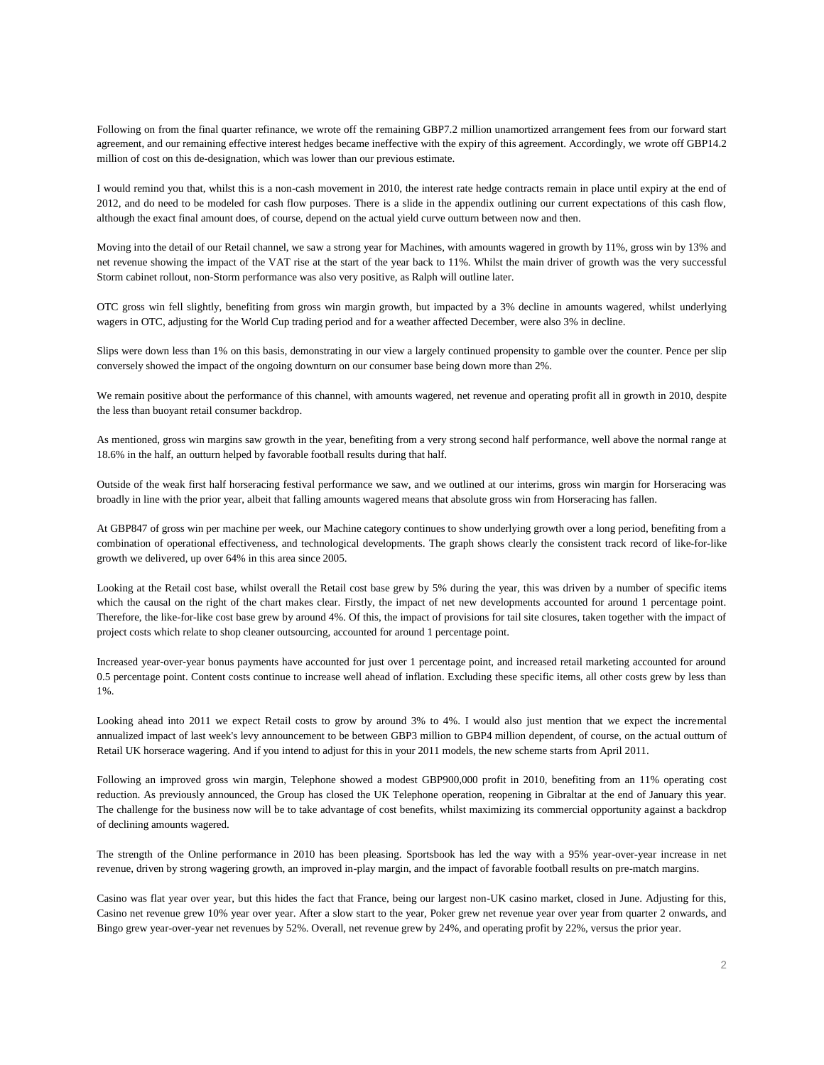Following on from the final quarter refinance, we wrote off the remaining GBP7.2 million unamortized arrangement fees from our forward start agreement, and our remaining effective interest hedges became ineffective with the expiry of this agreement. Accordingly, we wrote off GBP14.2 million of cost on this de-designation, which was lower than our previous estimate.

I would remind you that, whilst this is a non-cash movement in 2010, the interest rate hedge contracts remain in place until expiry at the end of 2012, and do need to be modeled for cash flow purposes. There is a slide in the appendix outlining our current expectations of this cash flow, although the exact final amount does, of course, depend on the actual yield curve outturn between now and then.

Moving into the detail of our Retail channel, we saw a strong year for Machines, with amounts wagered in growth by 11%, gross win by 13% and net revenue showing the impact of the VAT rise at the start of the year back to 11%. Whilst the main driver of growth was the very successful Storm cabinet rollout, non-Storm performance was also very positive, as Ralph will outline later.

OTC gross win fell slightly, benefiting from gross win margin growth, but impacted by a 3% decline in amounts wagered, whilst underlying wagers in OTC, adjusting for the World Cup trading period and for a weather affected December, were also 3% in decline.

Slips were down less than 1% on this basis, demonstrating in our view a largely continued propensity to gamble over the counter. Pence per slip conversely showed the impact of the ongoing downturn on our consumer base being down more than 2%.

We remain positive about the performance of this channel, with amounts wagered, net revenue and operating profit all in growth in 2010, despite the less than buoyant retail consumer backdrop.

As mentioned, gross win margins saw growth in the year, benefiting from a very strong second half performance, well above the normal range at 18.6% in the half, an outturn helped by favorable football results during that half.

Outside of the weak first half horseracing festival performance we saw, and we outlined at our interims, gross win margin for Horseracing was broadly in line with the prior year, albeit that falling amounts wagered means that absolute gross win from Horseracing has fallen.

At GBP847 of gross win per machine per week, our Machine category continues to show underlying growth over a long period, benefiting from a combination of operational effectiveness, and technological developments. The graph shows clearly the consistent track record of like-for-like growth we delivered, up over 64% in this area since 2005.

Looking at the Retail cost base, whilst overall the Retail cost base grew by 5% during the year, this was driven by a number of specific items which the causal on the right of the chart makes clear. Firstly, the impact of net new developments accounted for around 1 percentage point. Therefore, the like-for-like cost base grew by around 4%. Of this, the impact of provisions for tail site closures, taken together with the impact of project costs which relate to shop cleaner outsourcing, accounted for around 1 percentage point.

Increased year-over-year bonus payments have accounted for just over 1 percentage point, and increased retail marketing accounted for around 0.5 percentage point. Content costs continue to increase well ahead of inflation. Excluding these specific items, all other costs grew by less than 1%.

Looking ahead into 2011 we expect Retail costs to grow by around 3% to 4%. I would also just mention that we expect the incremental annualized impact of last week's levy announcement to be between GBP3 million to GBP4 million dependent, of course, on the actual outturn of Retail UK horserace wagering. And if you intend to adjust for this in your 2011 models, the new scheme starts from April 2011.

Following an improved gross win margin, Telephone showed a modest GBP900,000 profit in 2010, benefiting from an 11% operating cost reduction. As previously announced, the Group has closed the UK Telephone operation, reopening in Gibraltar at the end of January this year. The challenge for the business now will be to take advantage of cost benefits, whilst maximizing its commercial opportunity against a backdrop of declining amounts wagered.

The strength of the Online performance in 2010 has been pleasing. Sportsbook has led the way with a 95% year-over-year increase in net revenue, driven by strong wagering growth, an improved in-play margin, and the impact of favorable football results on pre-match margins.

Casino was flat year over year, but this hides the fact that France, being our largest non-UK casino market, closed in June. Adjusting for this, Casino net revenue grew 10% year over year. After a slow start to the year, Poker grew net revenue year over year from quarter 2 onwards, and Bingo grew year-over-year net revenues by 52%. Overall, net revenue grew by 24%, and operating profit by 22%, versus the prior year.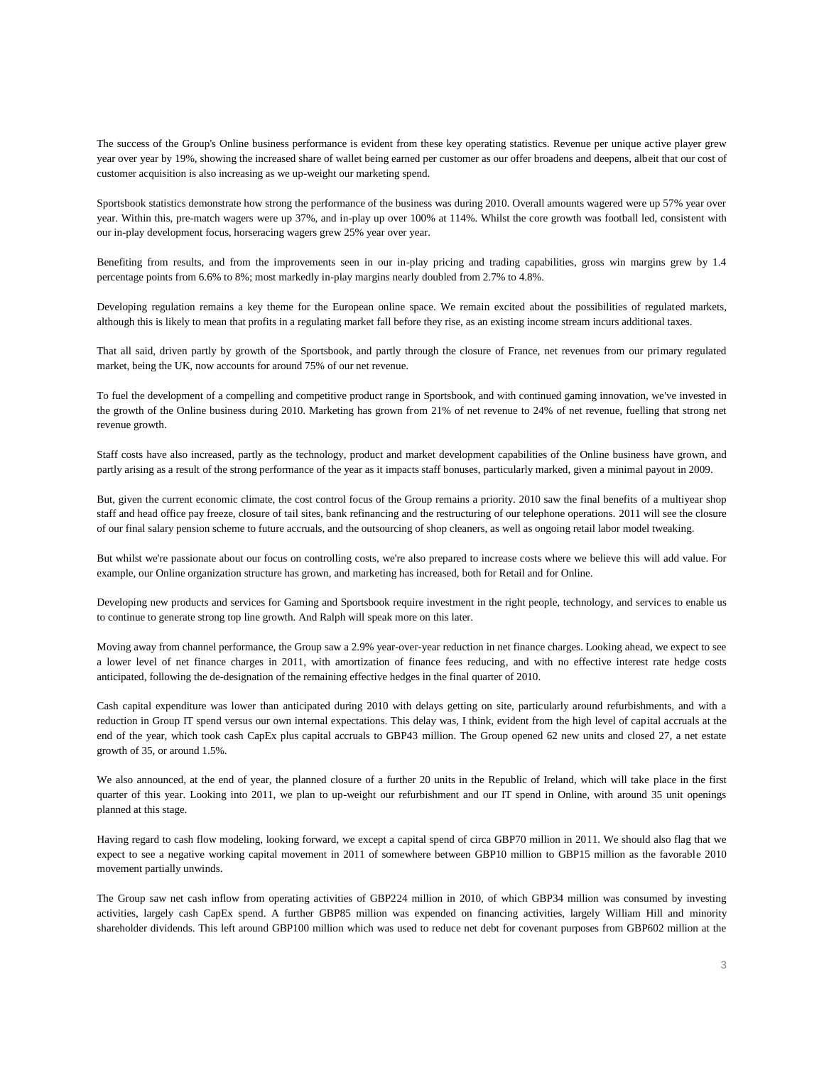The success of the Group's Online business performance is evident from these key operating statistics. Revenue per unique active player grew year over year by 19%, showing the increased share of wallet being earned per customer as our offer broadens and deepens, albeit that our cost of customer acquisition is also increasing as we up-weight our marketing spend.

Sportsbook statistics demonstrate how strong the performance of the business was during 2010. Overall amounts wagered were up 57% year over year. Within this, pre-match wagers were up 37%, and in-play up over 100% at 114%. Whilst the core growth was football led, consistent with our in-play development focus, horseracing wagers grew 25% year over year.

Benefiting from results, and from the improvements seen in our in-play pricing and trading capabilities, gross win margins grew by 1.4 percentage points from 6.6% to 8%; most markedly in-play margins nearly doubled from 2.7% to 4.8%.

Developing regulation remains a key theme for the European online space. We remain excited about the possibilities of regulated markets, although this is likely to mean that profits in a regulating market fall before they rise, as an existing income stream incurs additional taxes.

That all said, driven partly by growth of the Sportsbook, and partly through the closure of France, net revenues from our primary regulated market, being the UK, now accounts for around 75% of our net revenue.

To fuel the development of a compelling and competitive product range in Sportsbook, and with continued gaming innovation, we've invested in the growth of the Online business during 2010. Marketing has grown from 21% of net revenue to 24% of net revenue, fuelling that strong net revenue growth.

Staff costs have also increased, partly as the technology, product and market development capabilities of the Online business have grown, and partly arising as a result of the strong performance of the year as it impacts staff bonuses, particularly marked, given a minimal payout in 2009.

But, given the current economic climate, the cost control focus of the Group remains a priority. 2010 saw the final benefits of a multiyear shop staff and head office pay freeze, closure of tail sites, bank refinancing and the restructuring of our telephone operations. 2011 will see the closure of our final salary pension scheme to future accruals, and the outsourcing of shop cleaners, as well as ongoing retail labor model tweaking.

But whilst we're passionate about our focus on controlling costs, we're also prepared to increase costs where we believe this will add value. For example, our Online organization structure has grown, and marketing has increased, both for Retail and for Online.

Developing new products and services for Gaming and Sportsbook require investment in the right people, technology, and services to enable us to continue to generate strong top line growth. And Ralph will speak more on this later.

Moving away from channel performance, the Group saw a 2.9% year-over-year reduction in net finance charges. Looking ahead, we expect to see a lower level of net finance charges in 2011, with amortization of finance fees reducing, and with no effective interest rate hedge costs anticipated, following the de-designation of the remaining effective hedges in the final quarter of 2010.

Cash capital expenditure was lower than anticipated during 2010 with delays getting on site, particularly around refurbishments, and with a reduction in Group IT spend versus our own internal expectations. This delay was, I think, evident from the high level of capital accruals at the end of the year, which took cash CapEx plus capital accruals to GBP43 million. The Group opened 62 new units and closed 27, a net estate growth of 35, or around 1.5%.

We also announced, at the end of year, the planned closure of a further 20 units in the Republic of Ireland, which will take place in the first quarter of this year. Looking into 2011, we plan to up-weight our refurbishment and our IT spend in Online, with around 35 unit openings planned at this stage.

Having regard to cash flow modeling, looking forward, we except a capital spend of circa GBP70 million in 2011. We should also flag that we expect to see a negative working capital movement in 2011 of somewhere between GBP10 million to GBP15 million as the favorable 2010 movement partially unwinds.

The Group saw net cash inflow from operating activities of GBP224 million in 2010, of which GBP34 million was consumed by investing activities, largely cash CapEx spend. A further GBP85 million was expended on financing activities, largely William Hill and minority shareholder dividends. This left around GBP100 million which was used to reduce net debt for covenant purposes from GBP602 million at the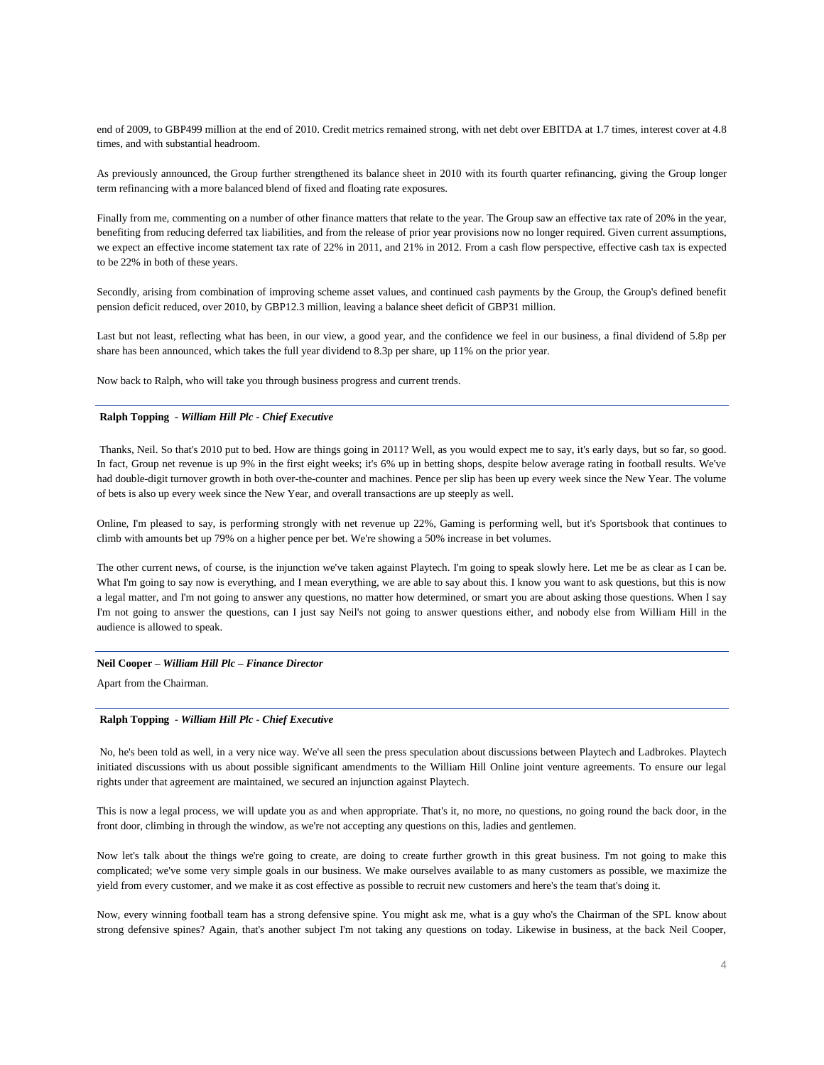end of 2009, to GBP499 million at the end of 2010. Credit metrics remained strong, with net debt over EBITDA at 1.7 times, interest cover at 4.8 times, and with substantial headroom.

As previously announced, the Group further strengthened its balance sheet in 2010 with its fourth quarter refinancing, giving the Group longer term refinancing with a more balanced blend of fixed and floating rate exposures.

Finally from me, commenting on a number of other finance matters that relate to the year. The Group saw an effective tax rate of 20% in the year, benefiting from reducing deferred tax liabilities, and from the release of prior year provisions now no longer required. Given current assumptions, we expect an effective income statement tax rate of 22% in 2011, and 21% in 2012. From a cash flow perspective, effective cash tax is expected to be 22% in both of these years.

Secondly, arising from combination of improving scheme asset values, and continued cash payments by the Group, the Group's defined benefit pension deficit reduced, over 2010, by GBP12.3 million, leaving a balance sheet deficit of GBP31 million.

Last but not least, reflecting what has been, in our view, a good year, and the confidence we feel in our business, a final dividend of 5.8p per share has been announced, which takes the full year dividend to 8.3p per share, up 11% on the prior year.

Now back to Ralph, who will take you through business progress and current trends.

### **Ralph Topping** *- William Hill Plc - Chief Executive*

Thanks, Neil. So that's 2010 put to bed. How are things going in 2011? Well, as you would expect me to say, it's early days, but so far, so good. In fact, Group net revenue is up 9% in the first eight weeks; it's 6% up in betting shops, despite below average rating in football results. We've had double-digit turnover growth in both over-the-counter and machines. Pence per slip has been up every week since the New Year. The volume of bets is also up every week since the New Year, and overall transactions are up steeply as well.

Online, I'm pleased to say, is performing strongly with net revenue up 22%, Gaming is performing well, but it's Sportsbook that continues to climb with amounts bet up 79% on a higher pence per bet. We're showing a 50% increase in bet volumes.

The other current news, of course, is the injunction we've taken against Playtech. I'm going to speak slowly here. Let me be as clear as I can be. What I'm going to say now is everything, and I mean everything, we are able to say about this. I know you want to ask questions, but this is now a legal matter, and I'm not going to answer any questions, no matter how determined, or smart you are about asking those questions. When I say I'm not going to answer the questions, can I just say Neil's not going to answer questions either, and nobody else from William Hill in the audience is allowed to speak.

#### **Neil Cooper –** *William Hill Plc – Finance Director*

Apart from the Chairman.

#### **Ralph Topping** *- William Hill Plc - Chief Executive*

No, he's been told as well, in a very nice way. We've all seen the press speculation about discussions between Playtech and Ladbrokes. Playtech initiated discussions with us about possible significant amendments to the William Hill Online joint venture agreements. To ensure our legal rights under that agreement are maintained, we secured an injunction against Playtech.

This is now a legal process, we will update you as and when appropriate. That's it, no more, no questions, no going round the back door, in the front door, climbing in through the window, as we're not accepting any questions on this, ladies and gentlemen.

Now let's talk about the things we're going to create, are doing to create further growth in this great business. I'm not going to make this complicated; we've some very simple goals in our business. We make ourselves available to as many customers as possible, we maximize the yield from every customer, and we make it as cost effective as possible to recruit new customers and here's the team that's doing it.

Now, every winning football team has a strong defensive spine. You might ask me, what is a guy who's the Chairman of the SPL know about strong defensive spines? Again, that's another subject I'm not taking any questions on today. Likewise in business, at the back Neil Cooper,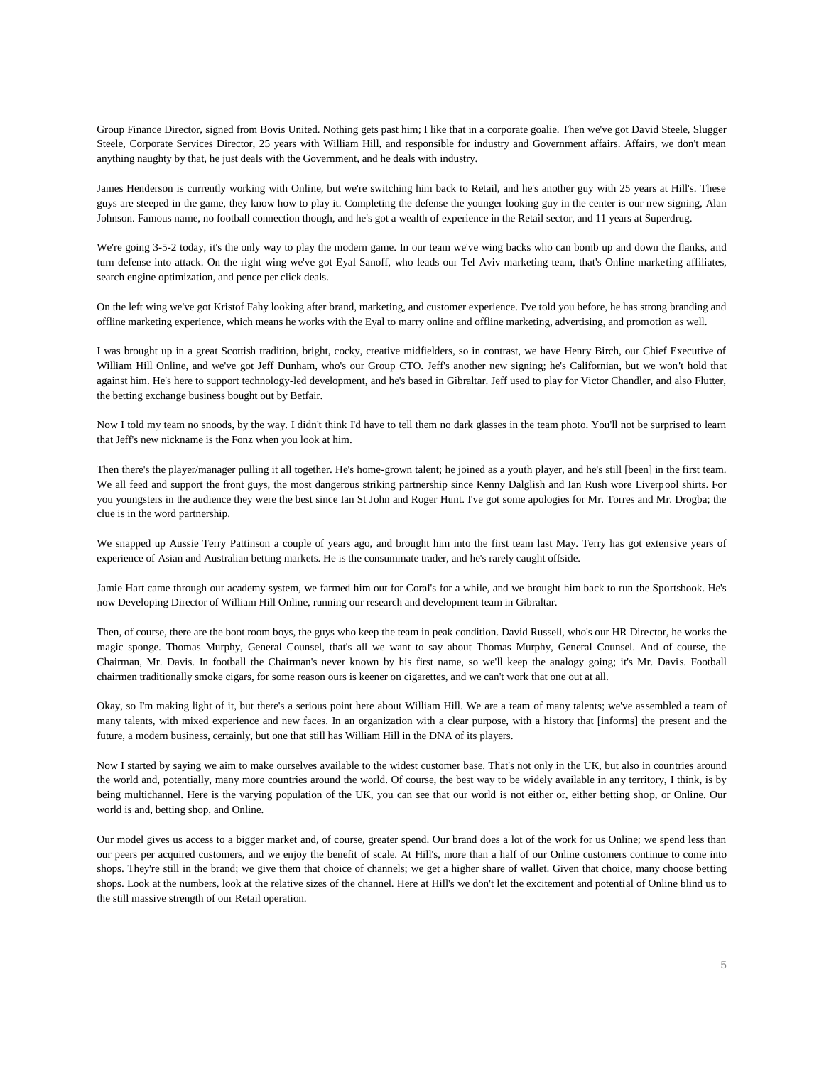Group Finance Director, signed from Bovis United. Nothing gets past him; I like that in a corporate goalie. Then we've got David Steele, Slugger Steele, Corporate Services Director, 25 years with William Hill, and responsible for industry and Government affairs. Affairs, we don't mean anything naughty by that, he just deals with the Government, and he deals with industry.

James Henderson is currently working with Online, but we're switching him back to Retail, and he's another guy with 25 years at Hill's. These guys are steeped in the game, they know how to play it. Completing the defense the younger looking guy in the center is our new signing, Alan Johnson. Famous name, no football connection though, and he's got a wealth of experience in the Retail sector, and 11 years at Superdrug.

We're going 3-5-2 today, it's the only way to play the modern game. In our team we've wing backs who can bomb up and down the flanks, and turn defense into attack. On the right wing we've got Eyal Sanoff, who leads our Tel Aviv marketing team, that's Online marketing affiliates, search engine optimization, and pence per click deals.

On the left wing we've got Kristof Fahy looking after brand, marketing, and customer experience. I've told you before, he has strong branding and offline marketing experience, which means he works with the Eyal to marry online and offline marketing, advertising, and promotion as well.

I was brought up in a great Scottish tradition, bright, cocky, creative midfielders, so in contrast, we have Henry Birch, our Chief Executive of William Hill Online, and we've got Jeff Dunham, who's our Group CTO. Jeff's another new signing; he's Californian, but we won't hold that against him. He's here to support technology-led development, and he's based in Gibraltar. Jeff used to play for Victor Chandler, and also Flutter, the betting exchange business bought out by Betfair.

Now I told my team no snoods, by the way. I didn't think I'd have to tell them no dark glasses in the team photo. You'll not be surprised to learn that Jeff's new nickname is the Fonz when you look at him.

Then there's the player/manager pulling it all together. He's home-grown talent; he joined as a youth player, and he's still [been] in the first team. We all feed and support the front guys, the most dangerous striking partnership since Kenny Dalglish and Ian Rush wore Liverpool shirts. For you youngsters in the audience they were the best since Ian St John and Roger Hunt. I've got some apologies for Mr. Torres and Mr. Drogba; the clue is in the word partnership.

We snapped up Aussie Terry Pattinson a couple of years ago, and brought him into the first team last May. Terry has got extensive years of experience of Asian and Australian betting markets. He is the consummate trader, and he's rarely caught offside.

Jamie Hart came through our academy system, we farmed him out for Coral's for a while, and we brought him back to run the Sportsbook. He's now Developing Director of William Hill Online, running our research and development team in Gibraltar.

Then, of course, there are the boot room boys, the guys who keep the team in peak condition. David Russell, who's our HR Director, he works the magic sponge. Thomas Murphy, General Counsel, that's all we want to say about Thomas Murphy, General Counsel. And of course, the Chairman, Mr. Davis. In football the Chairman's never known by his first name, so we'll keep the analogy going; it's Mr. Davis. Football chairmen traditionally smoke cigars, for some reason ours is keener on cigarettes, and we can't work that one out at all.

Okay, so I'm making light of it, but there's a serious point here about William Hill. We are a team of many talents; we've assembled a team of many talents, with mixed experience and new faces. In an organization with a clear purpose, with a history that [informs] the present and the future, a modern business, certainly, but one that still has William Hill in the DNA of its players.

Now I started by saying we aim to make ourselves available to the widest customer base. That's not only in the UK, but also in countries around the world and, potentially, many more countries around the world. Of course, the best way to be widely available in any territory, I think, is by being multichannel. Here is the varying population of the UK, you can see that our world is not either or, either betting shop, or Online. Our world is and, betting shop, and Online.

Our model gives us access to a bigger market and, of course, greater spend. Our brand does a lot of the work for us Online; we spend less than our peers per acquired customers, and we enjoy the benefit of scale. At Hill's, more than a half of our Online customers continue to come into shops. They're still in the brand; we give them that choice of channels; we get a higher share of wallet. Given that choice, many choose betting shops. Look at the numbers, look at the relative sizes of the channel. Here at Hill's we don't let the excitement and potential of Online blind us to the still massive strength of our Retail operation.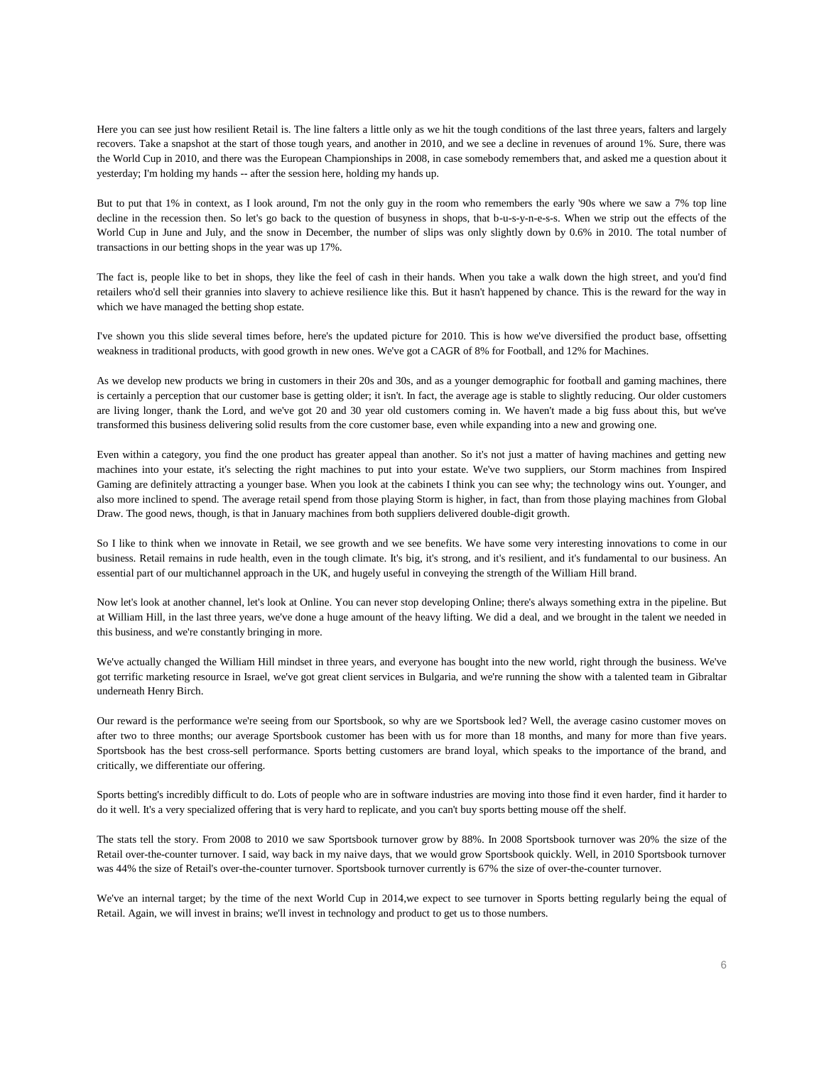Here you can see just how resilient Retail is. The line falters a little only as we hit the tough conditions of the last three years, falters and largely recovers. Take a snapshot at the start of those tough years, and another in 2010, and we see a decline in revenues of around 1%. Sure, there was the World Cup in 2010, and there was the European Championships in 2008, in case somebody remembers that, and asked me a question about it yesterday; I'm holding my hands -- after the session here, holding my hands up.

But to put that 1% in context, as I look around, I'm not the only guy in the room who remembers the early '90s where we saw a 7% top line decline in the recession then. So let's go back to the question of busyness in shops, that b-u-s-y-n-e-s-s. When we strip out the effects of the World Cup in June and July, and the snow in December, the number of slips was only slightly down by 0.6% in 2010. The total number of transactions in our betting shops in the year was up 17%.

The fact is, people like to bet in shops, they like the feel of cash in their hands. When you take a walk down the high street, and you'd find retailers who'd sell their grannies into slavery to achieve resilience like this. But it hasn't happened by chance. This is the reward for the way in which we have managed the betting shop estate.

I've shown you this slide several times before, here's the updated picture for 2010. This is how we've diversified the product base, offsetting weakness in traditional products, with good growth in new ones. We've got a CAGR of 8% for Football, and 12% for Machines.

As we develop new products we bring in customers in their 20s and 30s, and as a younger demographic for football and gaming machines, there is certainly a perception that our customer base is getting older; it isn't. In fact, the average age is stable to slightly reducing. Our older customers are living longer, thank the Lord, and we've got 20 and 30 year old customers coming in. We haven't made a big fuss about this, but we've transformed this business delivering solid results from the core customer base, even while expanding into a new and growing one.

Even within a category, you find the one product has greater appeal than another. So it's not just a matter of having machines and getting new machines into your estate, it's selecting the right machines to put into your estate. We've two suppliers, our Storm machines from Inspired Gaming are definitely attracting a younger base. When you look at the cabinets I think you can see why; the technology wins out. Younger, and also more inclined to spend. The average retail spend from those playing Storm is higher, in fact, than from those playing machines from Global Draw. The good news, though, is that in January machines from both suppliers delivered double-digit growth.

So I like to think when we innovate in Retail, we see growth and we see benefits. We have some very interesting innovations to come in our business. Retail remains in rude health, even in the tough climate. It's big, it's strong, and it's resilient, and it's fundamental to our business. An essential part of our multichannel approach in the UK, and hugely useful in conveying the strength of the William Hill brand.

Now let's look at another channel, let's look at Online. You can never stop developing Online; there's always something extra in the pipeline. But at William Hill, in the last three years, we've done a huge amount of the heavy lifting. We did a deal, and we brought in the talent we needed in this business, and we're constantly bringing in more.

We've actually changed the William Hill mindset in three years, and everyone has bought into the new world, right through the business. We've got terrific marketing resource in Israel, we've got great client services in Bulgaria, and we're running the show with a talented team in Gibraltar underneath Henry Birch.

Our reward is the performance we're seeing from our Sportsbook, so why are we Sportsbook led? Well, the average casino customer moves on after two to three months; our average Sportsbook customer has been with us for more than 18 months, and many for more than five years. Sportsbook has the best cross-sell performance. Sports betting customers are brand loyal, which speaks to the importance of the brand, and critically, we differentiate our offering.

Sports betting's incredibly difficult to do. Lots of people who are in software industries are moving into those find it even harder, find it harder to do it well. It's a very specialized offering that is very hard to replicate, and you can't buy sports betting mouse off the shelf.

The stats tell the story. From 2008 to 2010 we saw Sportsbook turnover grow by 88%. In 2008 Sportsbook turnover was 20% the size of the Retail over-the-counter turnover. I said, way back in my naive days, that we would grow Sportsbook quickly. Well, in 2010 Sportsbook turnover was 44% the size of Retail's over-the-counter turnover. Sportsbook turnover currently is 67% the size of over-the-counter turnover.

We've an internal target; by the time of the next World Cup in 2014,we expect to see turnover in Sports betting regularly being the equal of Retail. Again, we will invest in brains; we'll invest in technology and product to get us to those numbers.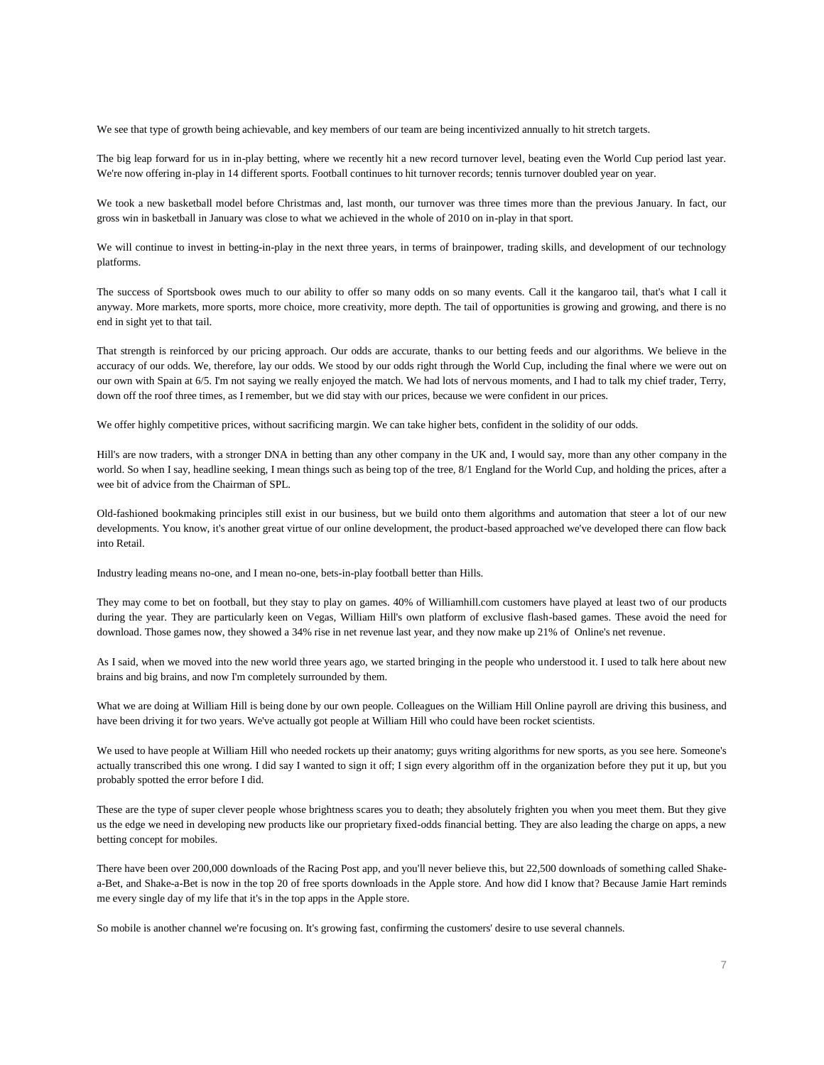We see that type of growth being achievable, and key members of our team are being incentivized annually to hit stretch targets.

The big leap forward for us in in-play betting, where we recently hit a new record turnover level, beating even the World Cup period last year. We're now offering in-play in 14 different sports. Football continues to hit turnover records; tennis turnover doubled year on year.

We took a new basketball model before Christmas and, last month, our turnover was three times more than the previous January. In fact, our gross win in basketball in January was close to what we achieved in the whole of 2010 on in-play in that sport.

We will continue to invest in betting-in-play in the next three years, in terms of brainpower, trading skills, and development of our technology platforms.

The success of Sportsbook owes much to our ability to offer so many odds on so many events. Call it the kangaroo tail, that's what I call it anyway. More markets, more sports, more choice, more creativity, more depth. The tail of opportunities is growing and growing, and there is no end in sight yet to that tail.

That strength is reinforced by our pricing approach. Our odds are accurate, thanks to our betting feeds and our algorithms. We believe in the accuracy of our odds. We, therefore, lay our odds. We stood by our odds right through the World Cup, including the final where we were out on our own with Spain at 6/5. I'm not saying we really enjoyed the match. We had lots of nervous moments, and I had to talk my chief trader, Terry, down off the roof three times, as I remember, but we did stay with our prices, because we were confident in our prices.

We offer highly competitive prices, without sacrificing margin. We can take higher bets, confident in the solidity of our odds.

Hill's are now traders, with a stronger DNA in betting than any other company in the UK and, I would say, more than any other company in the world. So when I say, headline seeking, I mean things such as being top of the tree, 8/1 England for the World Cup, and holding the prices, after a wee bit of advice from the Chairman of SPL.

Old-fashioned bookmaking principles still exist in our business, but we build onto them algorithms and automation that steer a lot of our new developments. You know, it's another great virtue of our online development, the product-based approached we've developed there can flow back into Retail.

Industry leading means no-one, and I mean no-one, bets-in-play football better than Hills.

They may come to bet on football, but they stay to play on games. 40% of Williamhill.com customers have played at least two of our products during the year. They are particularly keen on Vegas, William Hill's own platform of exclusive flash-based games. These avoid the need for download. Those games now, they showed a 34% rise in net revenue last year, and they now make up 21% of Online's net revenue.

As I said, when we moved into the new world three years ago, we started bringing in the people who understood it. I used to talk here about new brains and big brains, and now I'm completely surrounded by them.

What we are doing at William Hill is being done by our own people. Colleagues on the William Hill Online payroll are driving this business, and have been driving it for two years. We've actually got people at William Hill who could have been rocket scientists.

We used to have people at William Hill who needed rockets up their anatomy; guys writing algorithms for new sports, as you see here. Someone's actually transcribed this one wrong. I did say I wanted to sign it off; I sign every algorithm off in the organization before they put it up, but you probably spotted the error before I did.

These are the type of super clever people whose brightness scares you to death; they absolutely frighten you when you meet them. But they give us the edge we need in developing new products like our proprietary fixed-odds financial betting. They are also leading the charge on apps, a new betting concept for mobiles.

There have been over 200,000 downloads of the Racing Post app, and you'll never believe this, but 22,500 downloads of something called Shakea-Bet, and Shake-a-Bet is now in the top 20 of free sports downloads in the Apple store. And how did I know that? Because Jamie Hart reminds me every single day of my life that it's in the top apps in the Apple store.

So mobile is another channel we're focusing on. It's growing fast, confirming the customers' desire to use several channels.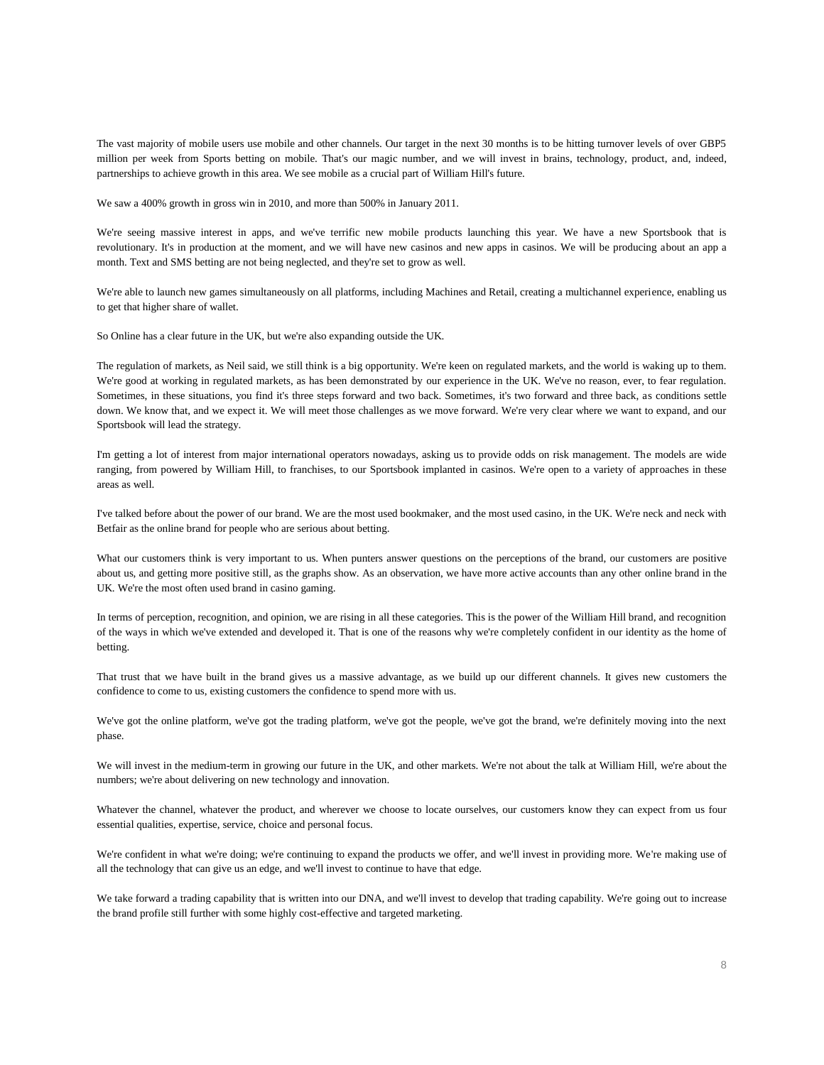The vast majority of mobile users use mobile and other channels. Our target in the next 30 months is to be hitting turnover levels of over GBP5 million per week from Sports betting on mobile. That's our magic number, and we will invest in brains, technology, product, and, indeed, partnerships to achieve growth in this area. We see mobile as a crucial part of William Hill's future.

We saw a 400% growth in gross win in 2010, and more than 500% in January 2011.

We're seeing massive interest in apps, and we've terrific new mobile products launching this year. We have a new Sportsbook that is revolutionary. It's in production at the moment, and we will have new casinos and new apps in casinos. We will be producing about an app a month. Text and SMS betting are not being neglected, and they're set to grow as well.

We're able to launch new games simultaneously on all platforms, including Machines and Retail, creating a multichannel experience, enabling us to get that higher share of wallet.

So Online has a clear future in the UK, but we're also expanding outside the UK.

The regulation of markets, as Neil said, we still think is a big opportunity. We're keen on regulated markets, and the world is waking up to them. We're good at working in regulated markets, as has been demonstrated by our experience in the UK. We've no reason, ever, to fear regulation. Sometimes, in these situations, you find it's three steps forward and two back. Sometimes, it's two forward and three back, as conditions settle down. We know that, and we expect it. We will meet those challenges as we move forward. We're very clear where we want to expand, and our Sportsbook will lead the strategy.

I'm getting a lot of interest from major international operators nowadays, asking us to provide odds on risk management. The models are wide ranging, from powered by William Hill, to franchises, to our Sportsbook implanted in casinos. We're open to a variety of approaches in these areas as well.

I've talked before about the power of our brand. We are the most used bookmaker, and the most used casino, in the UK. We're neck and neck with Betfair as the online brand for people who are serious about betting.

What our customers think is very important to us. When punters answer questions on the perceptions of the brand, our customers are positive about us, and getting more positive still, as the graphs show. As an observation, we have more active accounts than any other online brand in the UK. We're the most often used brand in casino gaming.

In terms of perception, recognition, and opinion, we are rising in all these categories. This is the power of the William Hill brand, and recognition of the ways in which we've extended and developed it. That is one of the reasons why we're completely confident in our identity as the home of betting.

That trust that we have built in the brand gives us a massive advantage, as we build up our different channels. It gives new customers the confidence to come to us, existing customers the confidence to spend more with us.

We've got the online platform, we've got the trading platform, we've got the people, we've got the brand, we're definitely moving into the next phase.

We will invest in the medium-term in growing our future in the UK, and other markets. We're not about the talk at William Hill, we're about the numbers; we're about delivering on new technology and innovation.

Whatever the channel, whatever the product, and wherever we choose to locate ourselves, our customers know they can expect from us four essential qualities, expertise, service, choice and personal focus.

We're confident in what we're doing; we're continuing to expand the products we offer, and we'll invest in providing more. We're making use of all the technology that can give us an edge, and we'll invest to continue to have that edge.

We take forward a trading capability that is written into our DNA, and we'll invest to develop that trading capability. We're going out to increase the brand profile still further with some highly cost-effective and targeted marketing.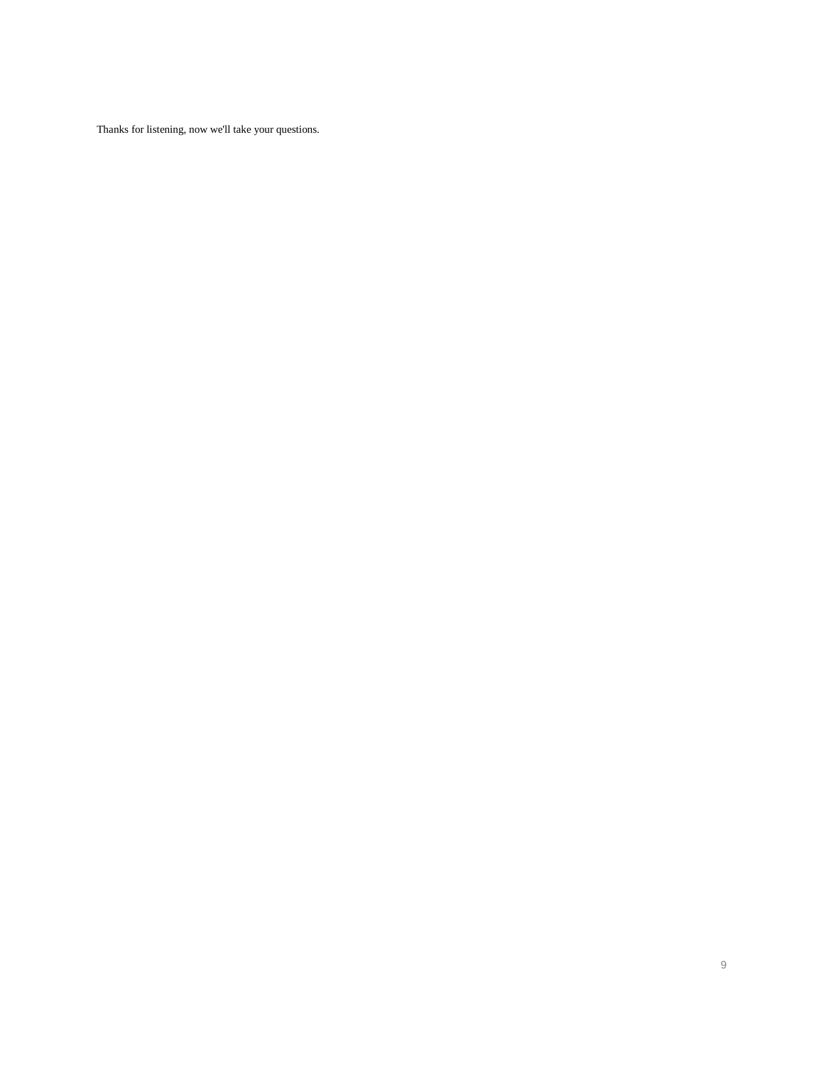Thanks for listening, now we'll take your questions.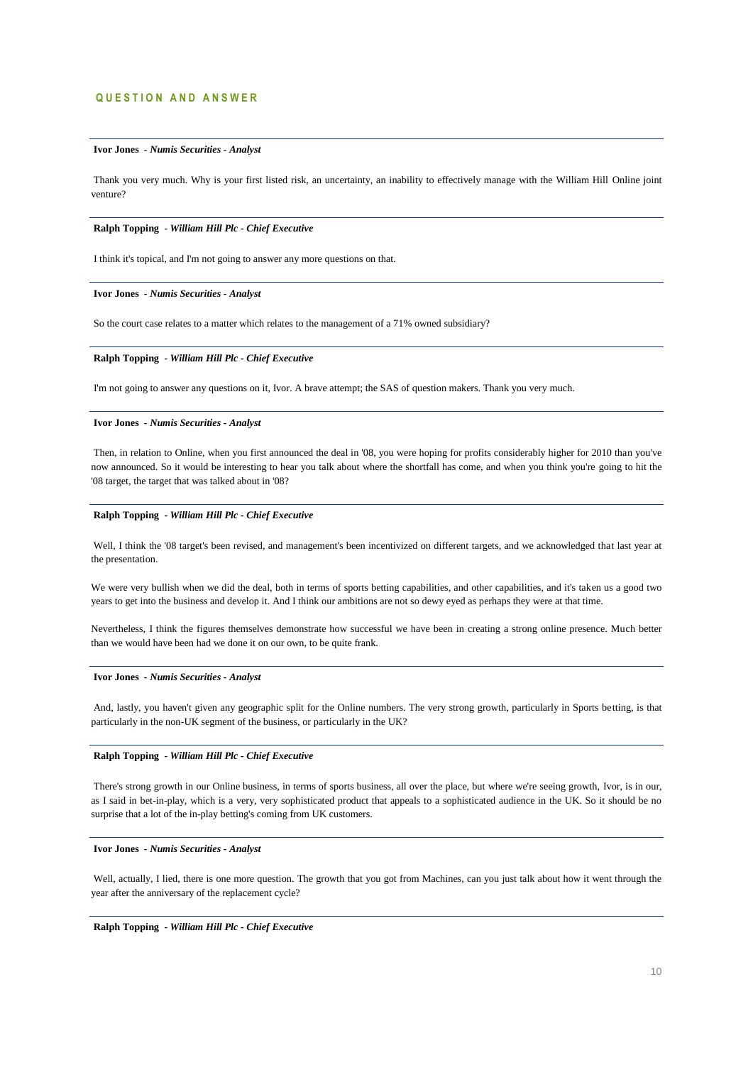# **Q U E S T I O N A N D A N S W E R**

#### **Ivor Jones** *- Numis Securities - Analyst*

Thank you very much. Why is your first listed risk, an uncertainty, an inability to effectively manage with the William Hill Online joint venture?

### **Ralph Topping** *- William Hill Plc - Chief Executive*

I think it's topical, and I'm not going to answer any more questions on that.

#### **Ivor Jones** *- Numis Securities - Analyst*

So the court case relates to a matter which relates to the management of a 71% owned subsidiary?

### **Ralph Topping** *- William Hill Plc - Chief Executive*

I'm not going to answer any questions on it, Ivor. A brave attempt; the SAS of question makers. Thank you very much.

# **Ivor Jones** *- Numis Securities - Analyst*

Then, in relation to Online, when you first announced the deal in '08, you were hoping for profits considerably higher for 2010 than you've now announced. So it would be interesting to hear you talk about where the shortfall has come, and when you think you're going to hit the '08 target, the target that was talked about in '08?

### **Ralph Topping** *- William Hill Plc - Chief Executive*

Well, I think the '08 target's been revised, and management's been incentivized on different targets, and we acknowledged that last year at the presentation.

We were very bullish when we did the deal, both in terms of sports betting capabilities, and other capabilities, and it's taken us a good two years to get into the business and develop it. And I think our ambitions are not so dewy eyed as perhaps they were at that time.

Nevertheless, I think the figures themselves demonstrate how successful we have been in creating a strong online presence. Much better than we would have been had we done it on our own, to be quite frank.

### **Ivor Jones** *- Numis Securities - Analyst*

And, lastly, you haven't given any geographic split for the Online numbers. The very strong growth, particularly in Sports betting, is that particularly in the non-UK segment of the business, or particularly in the UK?

# **Ralph Topping** *- William Hill Plc - Chief Executive*

There's strong growth in our Online business, in terms of sports business, all over the place, but where we're seeing growth, Ivor, is in our, as I said in bet-in-play, which is a very, very sophisticated product that appeals to a sophisticated audience in the UK. So it should be no surprise that a lot of the in-play betting's coming from UK customers.

### **Ivor Jones** *- Numis Securities - Analyst*

Well, actually, I lied, there is one more question. The growth that you got from Machines, can you just talk about how it went through the year after the anniversary of the replacement cycle?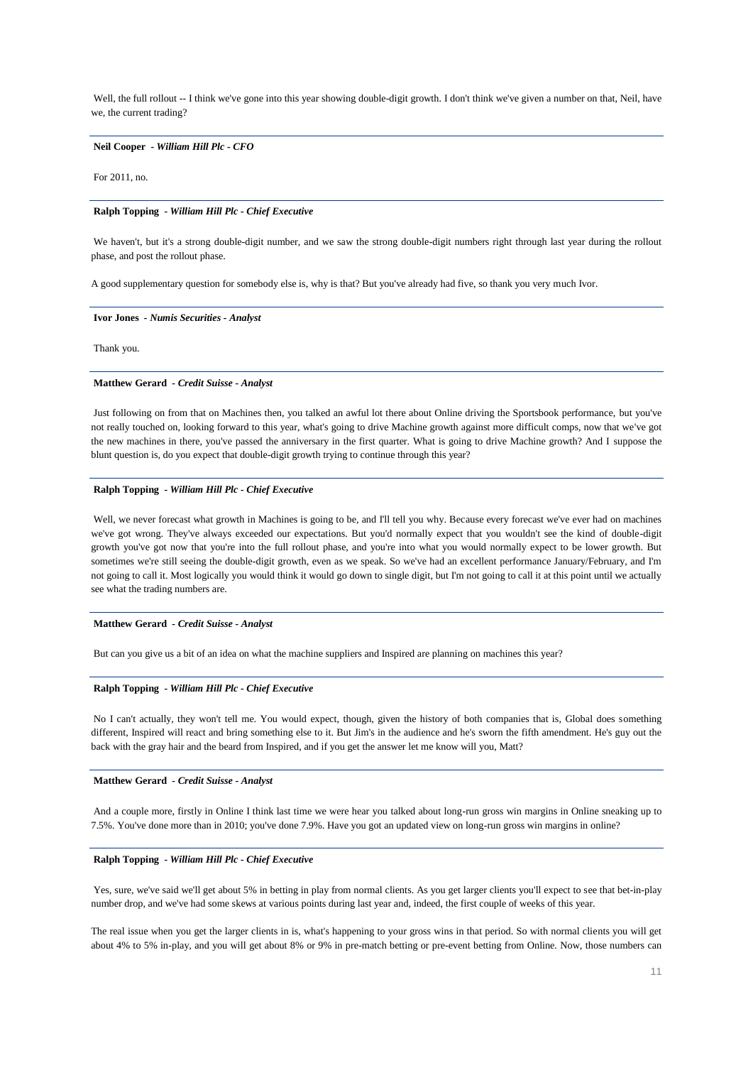Well, the full rollout -- I think we've gone into this year showing double-digit growth. I don't think we've given a number on that, Neil, have we, the current trading?

**Neil Cooper** *- William Hill Plc - CFO* 

For 2011, no.

#### **Ralph Topping** *- William Hill Plc - Chief Executive*

We haven't, but it's a strong double-digit number, and we saw the strong double-digit numbers right through last year during the rollout phase, and post the rollout phase.

A good supplementary question for somebody else is, why is that? But you've already had five, so thank you very much Ivor.

**Ivor Jones** *- Numis Securities - Analyst* 

Thank you.

#### **Matthew Gerard** *- Credit Suisse - Analyst*

Just following on from that on Machines then, you talked an awful lot there about Online driving the Sportsbook performance, but you've not really touched on, looking forward to this year, what's going to drive Machine growth against more difficult comps, now that we've got the new machines in there, you've passed the anniversary in the first quarter. What is going to drive Machine growth? And I suppose the blunt question is, do you expect that double-digit growth trying to continue through this year?

# **Ralph Topping** *- William Hill Plc - Chief Executive*

Well, we never forecast what growth in Machines is going to be, and I'll tell you why. Because every forecast we've ever had on machines we've got wrong. They've always exceeded our expectations. But you'd normally expect that you wouldn't see the kind of double-digit growth you've got now that you're into the full rollout phase, and you're into what you would normally expect to be lower growth. But sometimes we're still seeing the double-digit growth, even as we speak. So we've had an excellent performance January/February, and I'm not going to call it. Most logically you would think it would go down to single digit, but I'm not going to call it at this point until we actually see what the trading numbers are.

#### **Matthew Gerard** *- Credit Suisse - Analyst*

But can you give us a bit of an idea on what the machine suppliers and Inspired are planning on machines this year?

### **Ralph Topping** *- William Hill Plc - Chief Executive*

No I can't actually, they won't tell me. You would expect, though, given the history of both companies that is, Global does something different, Inspired will react and bring something else to it. But Jim's in the audience and he's sworn the fifth amendment. He's guy out the back with the gray hair and the beard from Inspired, and if you get the answer let me know will you, Matt?

### **Matthew Gerard** *- Credit Suisse - Analyst*

And a couple more, firstly in Online I think last time we were hear you talked about long-run gross win margins in Online sneaking up to 7.5%. You've done more than in 2010; you've done 7.9%. Have you got an updated view on long-run gross win margins in online?

### **Ralph Topping** *- William Hill Plc - Chief Executive*

Yes, sure, we've said we'll get about 5% in betting in play from normal clients. As you get larger clients you'll expect to see that bet-in-play number drop, and we've had some skews at various points during last year and, indeed, the first couple of weeks of this year.

The real issue when you get the larger clients in is, what's happening to your gross wins in that period. So with normal clients you will get about 4% to 5% in-play, and you will get about 8% or 9% in pre-match betting or pre-event betting from Online. Now, those numbers can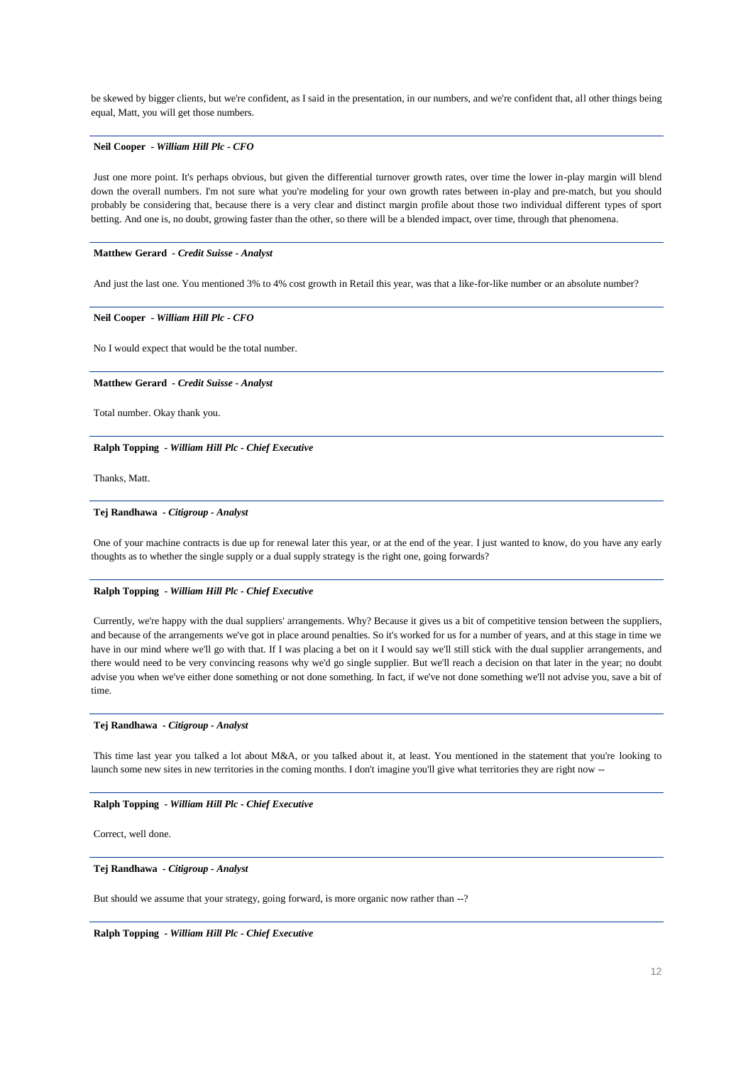be skewed by bigger clients, but we're confident, as I said in the presentation, in our numbers, and we're confident that, all other things being equal, Matt, you will get those numbers.

# **Neil Cooper** *- William Hill Plc - CFO*

Just one more point. It's perhaps obvious, but given the differential turnover growth rates, over time the lower in-play margin will blend down the overall numbers. I'm not sure what you're modeling for your own growth rates between in-play and pre-match, but you should probably be considering that, because there is a very clear and distinct margin profile about those two individual different types of sport betting. And one is, no doubt, growing faster than the other, so there will be a blended impact, over time, through that phenomena.

#### **Matthew Gerard** *- Credit Suisse - Analyst*

And just the last one. You mentioned 3% to 4% cost growth in Retail this year, was that a like-for-like number or an absolute number?

#### **Neil Cooper** *- William Hill Plc - CFO*

No I would expect that would be the total number.

#### **Matthew Gerard** *- Credit Suisse - Analyst*

Total number. Okay thank you.

# **Ralph Topping** *- William Hill Plc - Chief Executive*

Thanks, Matt.

### **Tej Randhawa** *- Citigroup - Analyst*

One of your machine contracts is due up for renewal later this year, or at the end of the year. I just wanted to know, do you have any early thoughts as to whether the single supply or a dual supply strategy is the right one, going forwards?

### **Ralph Topping** *- William Hill Plc - Chief Executive*

Currently, we're happy with the dual suppliers' arrangements. Why? Because it gives us a bit of competitive tension between the suppliers, and because of the arrangements we've got in place around penalties. So it's worked for us for a number of years, and at this stage in time we have in our mind where we'll go with that. If I was placing a bet on it I would say we'll still stick with the dual supplier arrangements, and there would need to be very convincing reasons why we'd go single supplier. But we'll reach a decision on that later in the year; no doubt advise you when we've either done something or not done something. In fact, if we've not done something we'll not advise you, save a bit of time.

# **Tej Randhawa** *- Citigroup - Analyst*

This time last year you talked a lot about M&A, or you talked about it, at least. You mentioned in the statement that you're looking to launch some new sites in new territories in the coming months. I don't imagine you'll give what territories they are right now --

### **Ralph Topping** *- William Hill Plc - Chief Executive*

Correct, well done.

### **Tej Randhawa** *- Citigroup - Analyst*

But should we assume that your strategy, going forward, is more organic now rather than --?

**Ralph Topping** *- William Hill Plc - Chief Executive*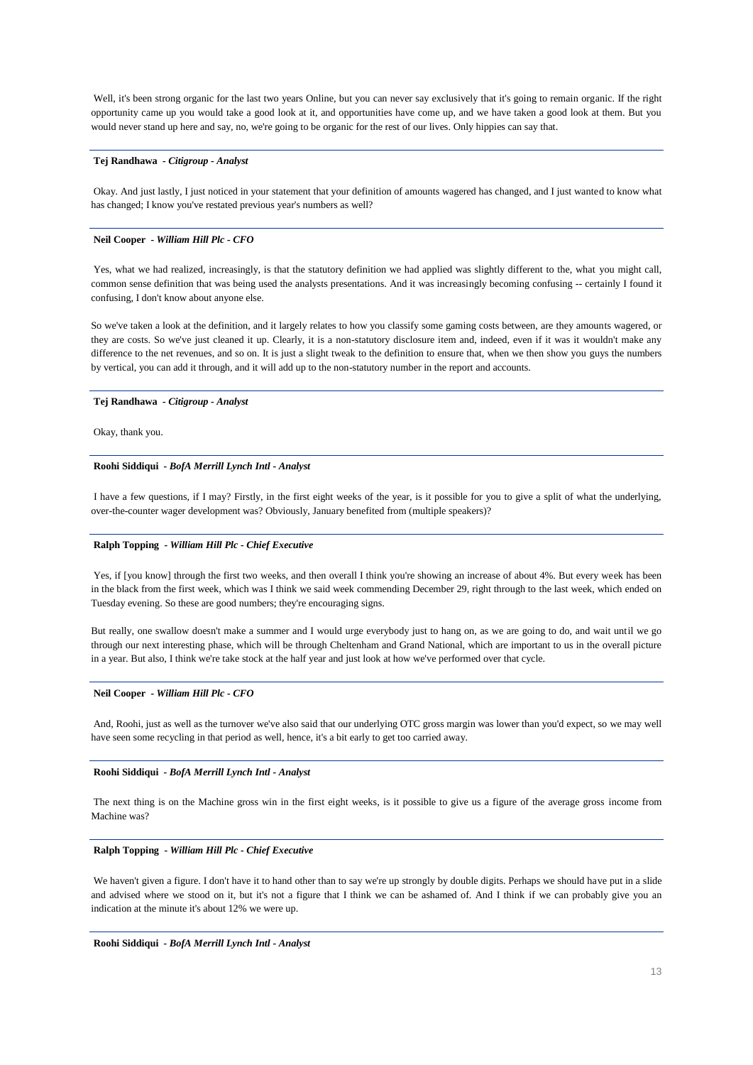Well, it's been strong organic for the last two years Online, but you can never say exclusively that it's going to remain organic. If the right opportunity came up you would take a good look at it, and opportunities have come up, and we have taken a good look at them. But you would never stand up here and say, no, we're going to be organic for the rest of our lives. Only hippies can say that.

### **Tej Randhawa** *- Citigroup - Analyst*

Okay. And just lastly, I just noticed in your statement that your definition of amounts wagered has changed, and I just wanted to know what has changed; I know you've restated previous year's numbers as well?

### **Neil Cooper** *- William Hill Plc - CFO*

Yes, what we had realized, increasingly, is that the statutory definition we had applied was slightly different to the, what you might call, common sense definition that was being used the analysts presentations. And it was increasingly becoming confusing -- certainly I found it confusing, I don't know about anyone else.

So we've taken a look at the definition, and it largely relates to how you classify some gaming costs between, are they amounts wagered, or they are costs. So we've just cleaned it up. Clearly, it is a non-statutory disclosure item and, indeed, even if it was it wouldn't make any difference to the net revenues, and so on. It is just a slight tweak to the definition to ensure that, when we then show you guys the numbers by vertical, you can add it through, and it will add up to the non-statutory number in the report and accounts.

### **Tej Randhawa** *- Citigroup - Analyst*

Okay, thank you.

# **Roohi Siddiqui** *- BofA Merrill Lynch Intl - Analyst*

I have a few questions, if I may? Firstly, in the first eight weeks of the year, is it possible for you to give a split of what the underlying, over-the-counter wager development was? Obviously, January benefited from (multiple speakers)?

# **Ralph Topping** *- William Hill Plc - Chief Executive*

Yes, if [you know] through the first two weeks, and then overall I think you're showing an increase of about 4%. But every week has been in the black from the first week, which was I think we said week commending December 29, right through to the last week, which ended on Tuesday evening. So these are good numbers; they're encouraging signs.

But really, one swallow doesn't make a summer and I would urge everybody just to hang on, as we are going to do, and wait until we go through our next interesting phase, which will be through Cheltenham and Grand National, which are important to us in the overall picture in a year. But also, I think we're take stock at the half year and just look at how we've performed over that cycle.

#### **Neil Cooper** *- William Hill Plc - CFO*

And, Roohi, just as well as the turnover we've also said that our underlying OTC gross margin was lower than you'd expect, so we may well have seen some recycling in that period as well, hence, it's a bit early to get too carried away.

#### **Roohi Siddiqui** *- BofA Merrill Lynch Intl - Analyst*

The next thing is on the Machine gross win in the first eight weeks, is it possible to give us a figure of the average gross income from Machine was?

# **Ralph Topping** *- William Hill Plc - Chief Executive*

We haven't given a figure. I don't have it to hand other than to say we're up strongly by double digits. Perhaps we should have put in a slide and advised where we stood on it, but it's not a figure that I think we can be ashamed of. And I think if we can probably give you an indication at the minute it's about 12% we were up.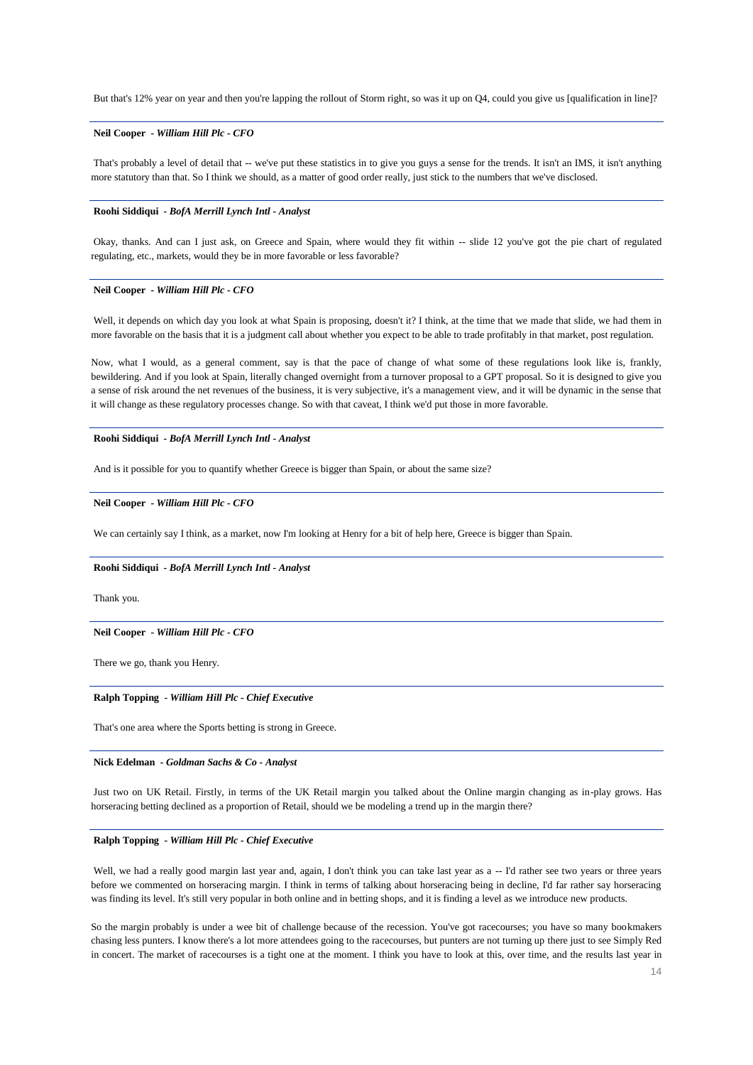But that's 12% year on year and then you're lapping the rollout of Storm right, so was it up on Q4, could you give us [qualification in line]?

### **Neil Cooper** *- William Hill Plc - CFO*

That's probably a level of detail that -- we've put these statistics in to give you guys a sense for the trends. It isn't an IMS, it isn't anything more statutory than that. So I think we should, as a matter of good order really, just stick to the numbers that we've disclosed.

### **Roohi Siddiqui** *- BofA Merrill Lynch Intl - Analyst*

Okay, thanks. And can I just ask, on Greece and Spain, where would they fit within -- slide 12 you've got the pie chart of regulated regulating, etc., markets, would they be in more favorable or less favorable?

#### **Neil Cooper** *- William Hill Plc - CFO*

Well, it depends on which day you look at what Spain is proposing, doesn't it? I think, at the time that we made that slide, we had them in more favorable on the basis that it is a judgment call about whether you expect to be able to trade profitably in that market, post regulation.

Now, what I would, as a general comment, say is that the pace of change of what some of these regulations look like is, frankly, bewildering. And if you look at Spain, literally changed overnight from a turnover proposal to a GPT proposal. So it is designed to give you a sense of risk around the net revenues of the business, it is very subjective, it's a management view, and it will be dynamic in the sense that it will change as these regulatory processes change. So with that caveat, I think we'd put those in more favorable.

### **Roohi Siddiqui** *- BofA Merrill Lynch Intl - Analyst*

And is it possible for you to quantify whether Greece is bigger than Spain, or about the same size?

#### **Neil Cooper** *- William Hill Plc - CFO*

We can certainly say I think, as a market, now I'm looking at Henry for a bit of help here, Greece is bigger than Spain.

### **Roohi Siddiqui** *- BofA Merrill Lynch Intl - Analyst*

Thank you.

# **Neil Cooper** *- William Hill Plc - CFO*

There we go, thank you Henry.

# **Ralph Topping** *- William Hill Plc - Chief Executive*

That's one area where the Sports betting is strong in Greece.

#### **Nick Edelman** *- Goldman Sachs & Co - Analyst*

Just two on UK Retail. Firstly, in terms of the UK Retail margin you talked about the Online margin changing as in-play grows. Has horseracing betting declined as a proportion of Retail, should we be modeling a trend up in the margin there?

### **Ralph Topping** *- William Hill Plc - Chief Executive*

Well, we had a really good margin last year and, again, I don't think you can take last year as a -- I'd rather see two years or three years before we commented on horseracing margin. I think in terms of talking about horseracing being in decline, I'd far rather say horseracing was finding its level. It's still very popular in both online and in betting shops, and it is finding a level as we introduce new products.

So the margin probably is under a wee bit of challenge because of the recession. You've got racecourses; you have so many bookmakers chasing less punters. I know there's a lot more attendees going to the racecourses, but punters are not turning up there just to see Simply Red in concert. The market of racecourses is a tight one at the moment. I think you have to look at this, over time, and the results last year in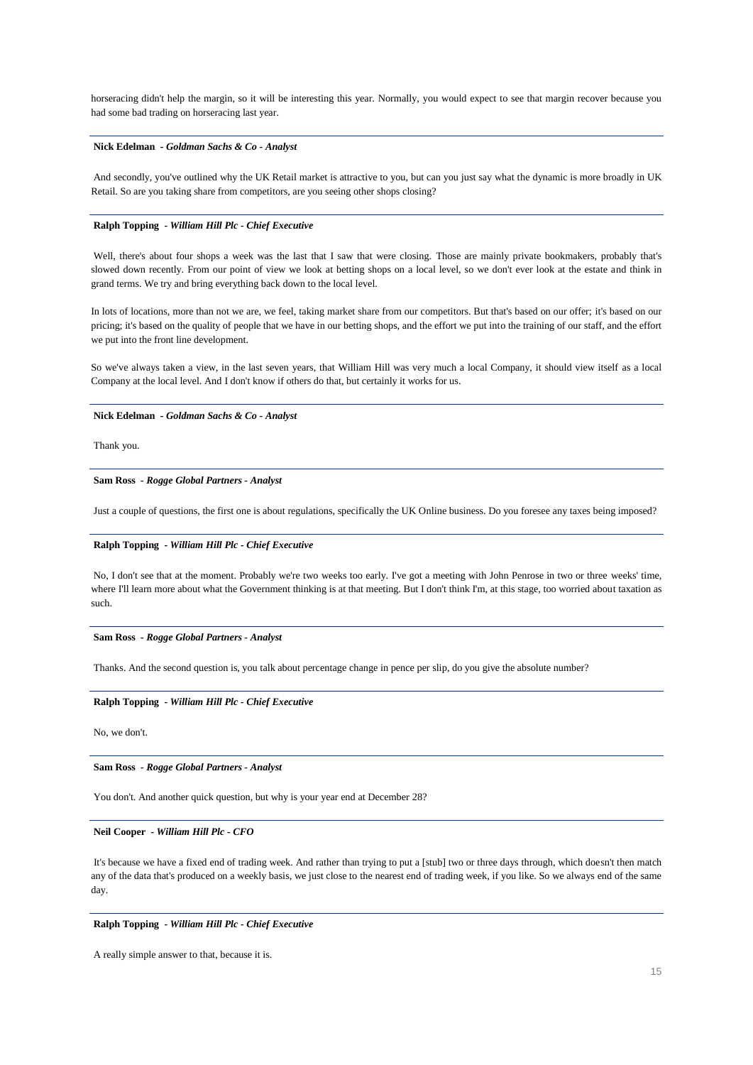horseracing didn't help the margin, so it will be interesting this year. Normally, you would expect to see that margin recover because you had some bad trading on horseracing last year.

# **Nick Edelman** *- Goldman Sachs & Co - Analyst*

And secondly, you've outlined why the UK Retail market is attractive to you, but can you just say what the dynamic is more broadly in UK Retail. So are you taking share from competitors, are you seeing other shops closing?

### **Ralph Topping** *- William Hill Plc - Chief Executive*

Well, there's about four shops a week was the last that I saw that were closing. Those are mainly private bookmakers, probably that's slowed down recently. From our point of view we look at betting shops on a local level, so we don't ever look at the estate and think in grand terms. We try and bring everything back down to the local level.

In lots of locations, more than not we are, we feel, taking market share from our competitors. But that's based on our offer; it's based on our pricing; it's based on the quality of people that we have in our betting shops, and the effort we put into the training of our staff, and the effort we put into the front line development.

So we've always taken a view, in the last seven years, that William Hill was very much a local Company, it should view itself as a local Company at the local level. And I don't know if others do that, but certainly it works for us.

### **Nick Edelman** *- Goldman Sachs & Co - Analyst*

Thank you.

### **Sam Ross** *- Rogge Global Partners - Analyst*

Just a couple of questions, the first one is about regulations, specifically the UK Online business. Do you foresee any taxes being imposed?

# **Ralph Topping** *- William Hill Plc - Chief Executive*

No, I don't see that at the moment. Probably we're two weeks too early. I've got a meeting with John Penrose in two or three weeks' time, where I'll learn more about what the Government thinking is at that meeting. But I don't think I'm, at this stage, too worried about taxation as such.

#### **Sam Ross** *- Rogge Global Partners - Analyst*

Thanks. And the second question is, you talk about percentage change in pence per slip, do you give the absolute number?

### **Ralph Topping** *- William Hill Plc - Chief Executive*

No, we don't.

**Sam Ross** *- Rogge Global Partners - Analyst* 

You don't. And another quick question, but why is your year end at December 28?

### **Neil Cooper** *- William Hill Plc - CFO*

It's because we have a fixed end of trading week. And rather than trying to put a [stub] two or three days through, which doesn't then match any of the data that's produced on a weekly basis, we just close to the nearest end of trading week, if you like. So we always end of the same day.

# **Ralph Topping** *- William Hill Plc - Chief Executive*

A really simple answer to that, because it is.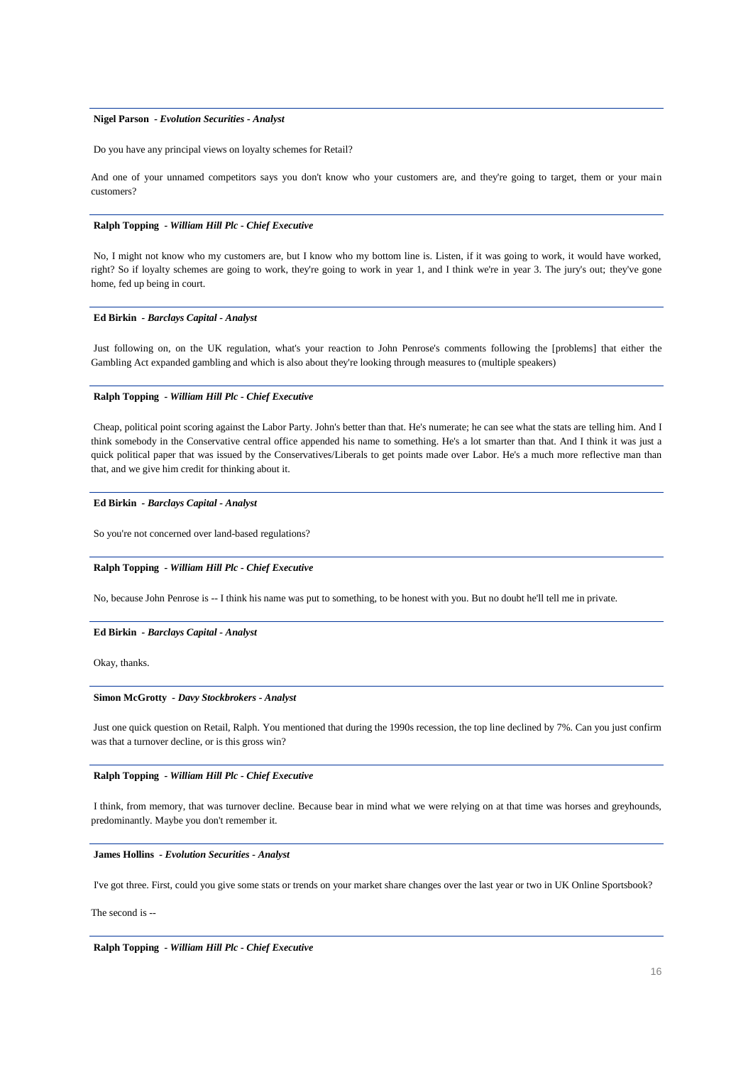### **Nigel Parson** *- Evolution Securities - Analyst*

Do you have any principal views on loyalty schemes for Retail?

And one of your unnamed competitors says you don't know who your customers are, and they're going to target, them or your main customers?

### **Ralph Topping** *- William Hill Plc - Chief Executive*

No, I might not know who my customers are, but I know who my bottom line is. Listen, if it was going to work, it would have worked, right? So if loyalty schemes are going to work, they're going to work in year 1, and I think we're in year 3. The jury's out; they've gone home, fed up being in court.

### **Ed Birkin** *- Barclays Capital - Analyst*

Just following on, on the UK regulation, what's your reaction to John Penrose's comments following the [problems] that either the Gambling Act expanded gambling and which is also about they're looking through measures to (multiple speakers)

### **Ralph Topping** *- William Hill Plc - Chief Executive*

Cheap, political point scoring against the Labor Party. John's better than that. He's numerate; he can see what the stats are telling him. And I think somebody in the Conservative central office appended his name to something. He's a lot smarter than that. And I think it was just a quick political paper that was issued by the Conservatives/Liberals to get points made over Labor. He's a much more reflective man than that, and we give him credit for thinking about it.

### **Ed Birkin** *- Barclays Capital - Analyst*

So you're not concerned over land-based regulations?

#### **Ralph Topping** *- William Hill Plc - Chief Executive*

No, because John Penrose is -- I think his name was put to something, to be honest with you. But no doubt he'll tell me in private.

### **Ed Birkin** *- Barclays Capital - Analyst*

Okay, thanks.

#### **Simon McGrotty** *- Davy Stockbrokers - Analyst*

Just one quick question on Retail, Ralph. You mentioned that during the 1990s recession, the top line declined by 7%. Can you just confirm was that a turnover decline, or is this gross win?

#### **Ralph Topping** *- William Hill Plc - Chief Executive*

I think, from memory, that was turnover decline. Because bear in mind what we were relying on at that time was horses and greyhounds, predominantly. Maybe you don't remember it.

#### **James Hollins** *- Evolution Securities - Analyst*

I've got three. First, could you give some stats or trends on your market share changes over the last year or two in UK Online Sportsbook?

The second is --

**Ralph Topping** *- William Hill Plc - Chief Executive*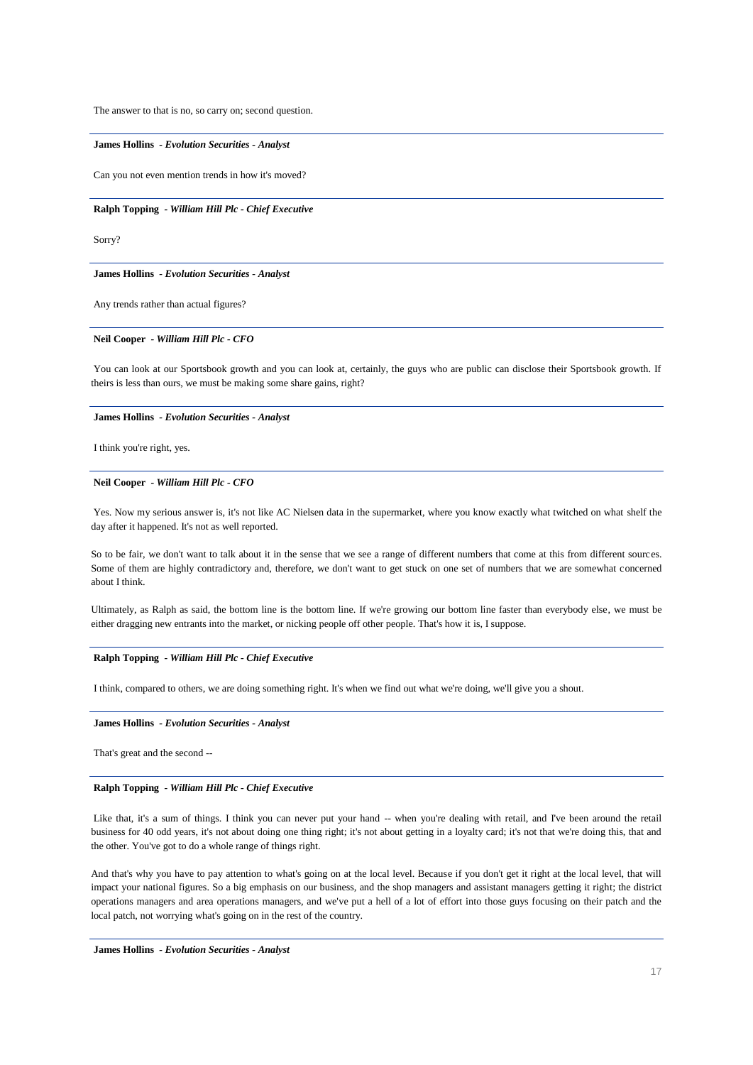The answer to that is no, so carry on; second question.

#### **James Hollins** *- Evolution Securities - Analyst*

Can you not even mention trends in how it's moved?

### **Ralph Topping** *- William Hill Plc - Chief Executive*

Sorry?

### **James Hollins** *- Evolution Securities - Analyst*

Any trends rather than actual figures?

# **Neil Cooper** *- William Hill Plc - CFO*

You can look at our Sportsbook growth and you can look at, certainly, the guys who are public can disclose their Sportsbook growth. If theirs is less than ours, we must be making some share gains, right?

#### **James Hollins** *- Evolution Securities - Analyst*

I think you're right, yes.

#### **Neil Cooper** *- William Hill Plc - CFO*

Yes. Now my serious answer is, it's not like AC Nielsen data in the supermarket, where you know exactly what twitched on what shelf the day after it happened. It's not as well reported.

So to be fair, we don't want to talk about it in the sense that we see a range of different numbers that come at this from different sources. Some of them are highly contradictory and, therefore, we don't want to get stuck on one set of numbers that we are somewhat concerned about I think.

Ultimately, as Ralph as said, the bottom line is the bottom line. If we're growing our bottom line faster than everybody else, we must be either dragging new entrants into the market, or nicking people off other people. That's how it is, I suppose.

# **Ralph Topping** *- William Hill Plc - Chief Executive*

I think, compared to others, we are doing something right. It's when we find out what we're doing, we'll give you a shout.

#### **James Hollins** *- Evolution Securities - Analyst*

That's great and the second --

### **Ralph Topping** *- William Hill Plc - Chief Executive*

Like that, it's a sum of things. I think you can never put your hand -- when you're dealing with retail, and I've been around the retail business for 40 odd years, it's not about doing one thing right; it's not about getting in a loyalty card; it's not that we're doing this, that and the other. You've got to do a whole range of things right.

And that's why you have to pay attention to what's going on at the local level. Because if you don't get it right at the local level, that will impact your national figures. So a big emphasis on our business, and the shop managers and assistant managers getting it right; the district operations managers and area operations managers, and we've put a hell of a lot of effort into those guys focusing on their patch and the local patch, not worrying what's going on in the rest of the country.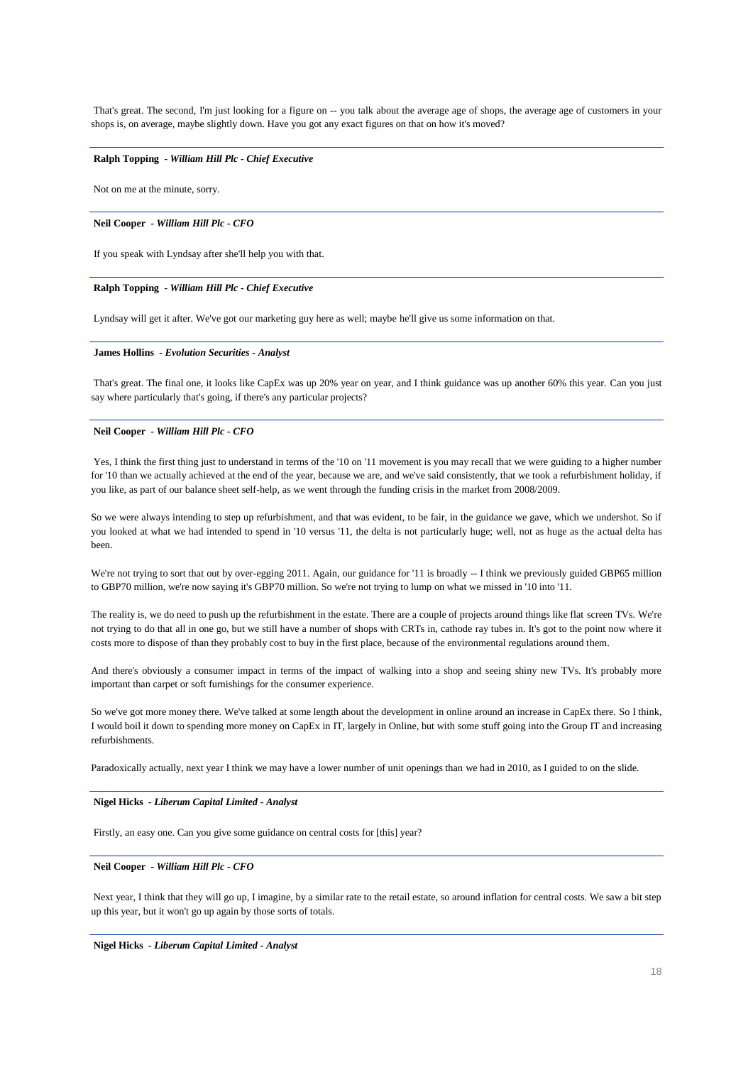That's great. The second, I'm just looking for a figure on -- you talk about the average age of shops, the average age of customers in your shops is, on average, maybe slightly down. Have you got any exact figures on that on how it's moved?

### **Ralph Topping** *- William Hill Plc - Chief Executive*

Not on me at the minute, sorry.

### **Neil Cooper** *- William Hill Plc - CFO*

If you speak with Lyndsay after she'll help you with that.

# **Ralph Topping** *- William Hill Plc - Chief Executive*

Lyndsay will get it after. We've got our marketing guy here as well; maybe he'll give us some information on that.

### **James Hollins** *- Evolution Securities - Analyst*

That's great. The final one, it looks like CapEx was up 20% year on year, and I think guidance was up another 60% this year. Can you just say where particularly that's going, if there's any particular projects?

#### **Neil Cooper** *- William Hill Plc - CFO*

Yes, I think the first thing just to understand in terms of the '10 on '11 movement is you may recall that we were guiding to a higher number for '10 than we actually achieved at the end of the year, because we are, and we've said consistently, that we took a refurbishment holiday, if you like, as part of our balance sheet self-help, as we went through the funding crisis in the market from 2008/2009.

So we were always intending to step up refurbishment, and that was evident, to be fair, in the guidance we gave, which we undershot. So if you looked at what we had intended to spend in '10 versus '11, the delta is not particularly huge; well, not as huge as the actual delta has been.

We're not trying to sort that out by over-egging 2011. Again, our guidance for '11 is broadly -- I think we previously guided GBP65 million to GBP70 million, we're now saying it's GBP70 million. So we're not trying to lump on what we missed in '10 into '11.

The reality is, we do need to push up the refurbishment in the estate. There are a couple of projects around things like flat screen TVs. We're not trying to do that all in one go, but we still have a number of shops with CRTs in, cathode ray tubes in. It's got to the point now where it costs more to dispose of than they probably cost to buy in the first place, because of the environmental regulations around them.

And there's obviously a consumer impact in terms of the impact of walking into a shop and seeing shiny new TVs. It's probably more important than carpet or soft furnishings for the consumer experience.

So we've got more money there. We've talked at some length about the development in online around an increase in CapEx there. So I think, I would boil it down to spending more money on CapEx in IT, largely in Online, but with some stuff going into the Group IT and increasing refurbishments.

Paradoxically actually, next year I think we may have a lower number of unit openings than we had in 2010, as I guided to on the slide.

### **Nigel Hicks** *- Liberum Capital Limited - Analyst*

Firstly, an easy one. Can you give some guidance on central costs for [this] year?

# **Neil Cooper** *- William Hill Plc - CFO*

Next year, I think that they will go up, I imagine, by a similar rate to the retail estate, so around inflation for central costs. We saw a bit step up this year, but it won't go up again by those sorts of totals.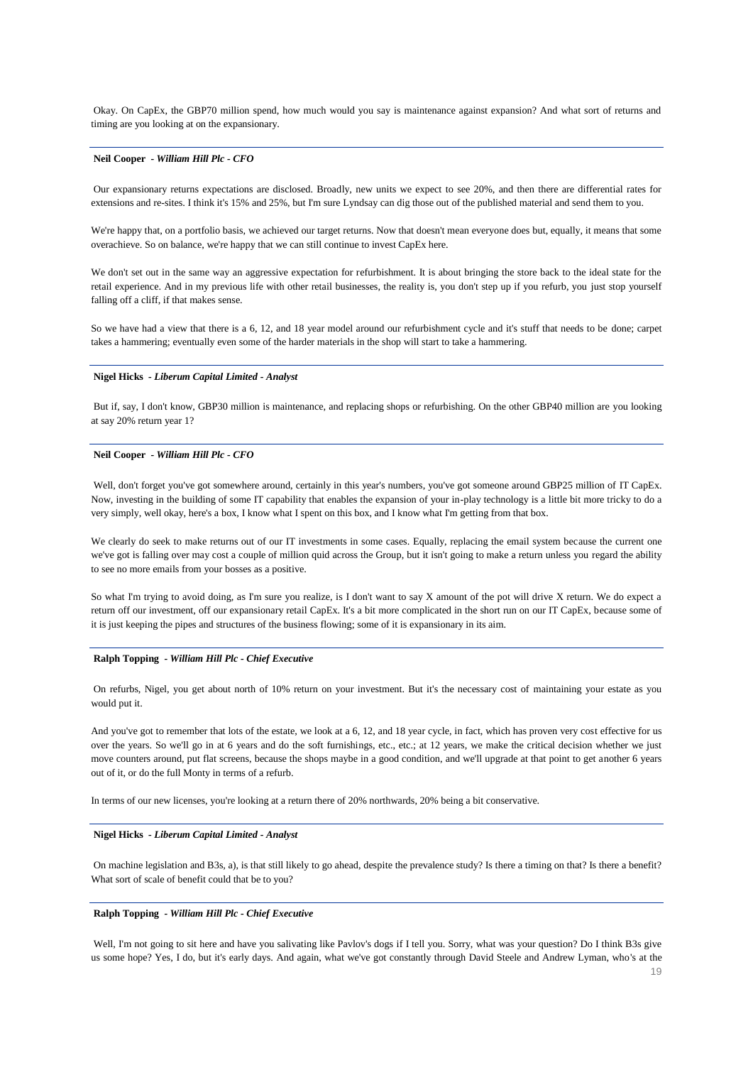Okay. On CapEx, the GBP70 million spend, how much would you say is maintenance against expansion? And what sort of returns and timing are you looking at on the expansionary.

### **Neil Cooper** *- William Hill Plc - CFO*

Our expansionary returns expectations are disclosed. Broadly, new units we expect to see 20%, and then there are differential rates for extensions and re-sites. I think it's 15% and 25%, but I'm sure Lyndsay can dig those out of the published material and send them to you.

We're happy that, on a portfolio basis, we achieved our target returns. Now that doesn't mean everyone does but, equally, it means that some overachieve. So on balance, we're happy that we can still continue to invest CapEx here.

We don't set out in the same way an aggressive expectation for refurbishment. It is about bringing the store back to the ideal state for the retail experience. And in my previous life with other retail businesses, the reality is, you don't step up if you refurb, you just stop yourself falling off a cliff, if that makes sense.

So we have had a view that there is a 6, 12, and 18 year model around our refurbishment cycle and it's stuff that needs to be done; carpet takes a hammering; eventually even some of the harder materials in the shop will start to take a hammering.

### **Nigel Hicks** *- Liberum Capital Limited - Analyst*

But if, say, I don't know, GBP30 million is maintenance, and replacing shops or refurbishing. On the other GBP40 million are you looking at say 20% return year 1?

#### **Neil Cooper** *- William Hill Plc - CFO*

Well, don't forget you've got somewhere around, certainly in this year's numbers, you've got someone around GBP25 million of IT CapEx. Now, investing in the building of some IT capability that enables the expansion of your in-play technology is a little bit more tricky to do a very simply, well okay, here's a box, I know what I spent on this box, and I know what I'm getting from that box.

We clearly do seek to make returns out of our IT investments in some cases. Equally, replacing the email system because the current one we've got is falling over may cost a couple of million quid across the Group, but it isn't going to make a return unless you regard the ability to see no more emails from your bosses as a positive.

So what I'm trying to avoid doing, as I'm sure you realize, is I don't want to say X amount of the pot will drive X return. We do expect a return off our investment, off our expansionary retail CapEx. It's a bit more complicated in the short run on our IT CapEx, because some of it is just keeping the pipes and structures of the business flowing; some of it is expansionary in its aim.

# **Ralph Topping** *- William Hill Plc - Chief Executive*

On refurbs, Nigel, you get about north of 10% return on your investment. But it's the necessary cost of maintaining your estate as you would put it.

And you've got to remember that lots of the estate, we look at a 6, 12, and 18 year cycle, in fact, which has proven very cost effective for us over the years. So we'll go in at 6 years and do the soft furnishings, etc., etc.; at 12 years, we make the critical decision whether we just move counters around, put flat screens, because the shops maybe in a good condition, and we'll upgrade at that point to get another 6 years out of it, or do the full Monty in terms of a refurb.

In terms of our new licenses, you're looking at a return there of 20% northwards, 20% being a bit conservative.

### **Nigel Hicks** *- Liberum Capital Limited - Analyst*

On machine legislation and B3s, a), is that still likely to go ahead, despite the prevalence study? Is there a timing on that? Is there a benefit? What sort of scale of benefit could that be to you?

#### **Ralph Topping** *- William Hill Plc - Chief Executive*

Well, I'm not going to sit here and have you salivating like Pavlov's dogs if I tell you. Sorry, what was your question? Do I think B3s give us some hope? Yes, I do, but it's early days. And again, what we've got constantly through David Steele and Andrew Lyman, who's at the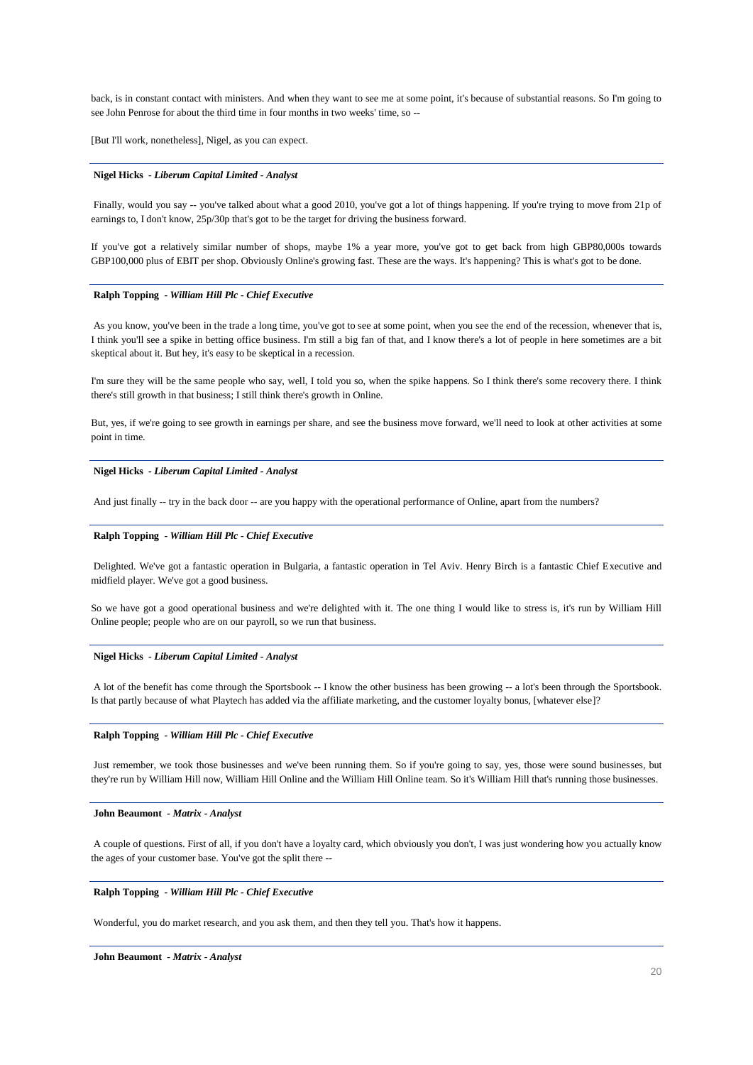back, is in constant contact with ministers. And when they want to see me at some point, it's because of substantial reasons. So I'm going to see John Penrose for about the third time in four months in two weeks' time, so --

[But I'll work, nonetheless], Nigel, as you can expect.

# **Nigel Hicks** *- Liberum Capital Limited - Analyst*

Finally, would you say -- you've talked about what a good 2010, you've got a lot of things happening. If you're trying to move from 21p of earnings to, I don't know, 25p/30p that's got to be the target for driving the business forward.

If you've got a relatively similar number of shops, maybe 1% a year more, you've got to get back from high GBP80,000s towards GBP100,000 plus of EBIT per shop. Obviously Online's growing fast. These are the ways. It's happening? This is what's got to be done.

#### **Ralph Topping** *- William Hill Plc - Chief Executive*

As you know, you've been in the trade a long time, you've got to see at some point, when you see the end of the recession, whenever that is, I think you'll see a spike in betting office business. I'm still a big fan of that, and I know there's a lot of people in here sometimes are a bit skeptical about it. But hey, it's easy to be skeptical in a recession.

I'm sure they will be the same people who say, well, I told you so, when the spike happens. So I think there's some recovery there. I think there's still growth in that business; I still think there's growth in Online.

But, yes, if we're going to see growth in earnings per share, and see the business move forward, we'll need to look at other activities at some point in time.

### **Nigel Hicks** *- Liberum Capital Limited - Analyst*

And just finally -- try in the back door -- are you happy with the operational performance of Online, apart from the numbers?

### **Ralph Topping** *- William Hill Plc - Chief Executive*

Delighted. We've got a fantastic operation in Bulgaria, a fantastic operation in Tel Aviv. Henry Birch is a fantastic Chief Executive and midfield player. We've got a good business.

So we have got a good operational business and we're delighted with it. The one thing I would like to stress is, it's run by William Hill Online people; people who are on our payroll, so we run that business.

# **Nigel Hicks** *- Liberum Capital Limited - Analyst*

A lot of the benefit has come through the Sportsbook -- I know the other business has been growing -- a lot's been through the Sportsbook. Is that partly because of what Playtech has added via the affiliate marketing, and the customer loyalty bonus, [whatever else]?

### **Ralph Topping** *- William Hill Plc - Chief Executive*

Just remember, we took those businesses and we've been running them. So if you're going to say, yes, those were sound businesses, but they're run by William Hill now, William Hill Online and the William Hill Online team. So it's William Hill that's running those businesses.

### **John Beaumont** *- Matrix - Analyst*

A couple of questions. First of all, if you don't have a loyalty card, which obviously you don't, I was just wondering how you actually know the ages of your customer base. You've got the split there --

### **Ralph Topping** *- William Hill Plc - Chief Executive*

Wonderful, you do market research, and you ask them, and then they tell you. That's how it happens.